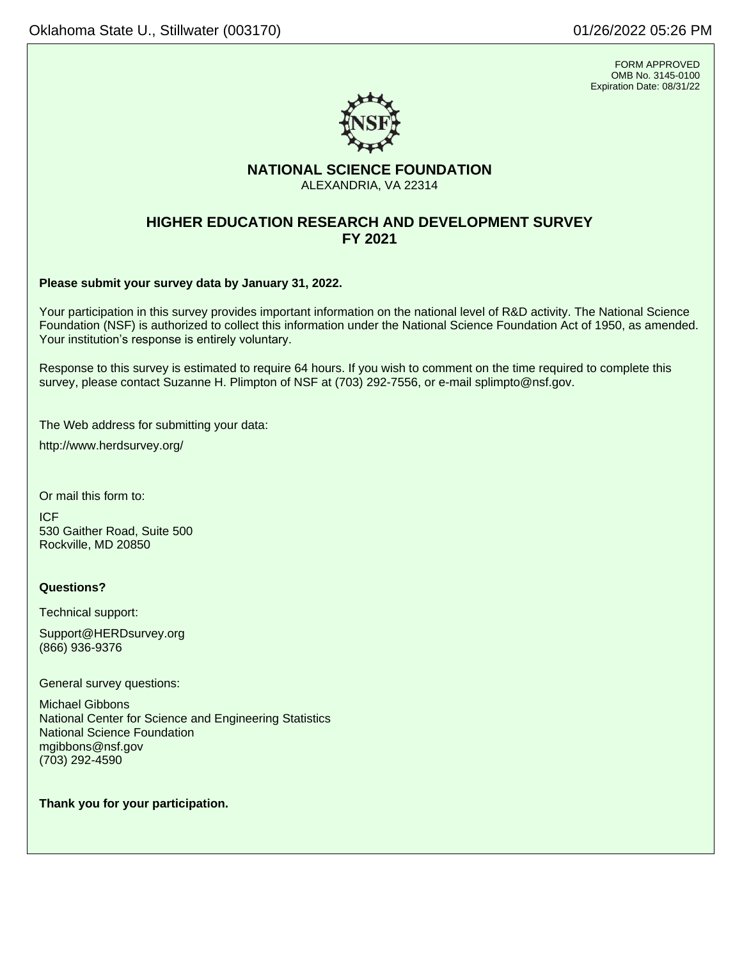FORM APPROVED OMB No. 3145-0100 Expiration Date: 08/31/22



# **NATIONAL SCIENCE FOUNDATION** ALEXANDRIA, VA 22314

# **HIGHER EDUCATION RESEARCH AND DEVELOPMENT SURVEY FY 2021**

**Please submit your survey data by January 31, 2022.**

Your participation in this survey provides important information on the national level of R&D activity. The National Science Foundation (NSF) is authorized to collect this information under the National Science Foundation Act of 1950, as amended. Your institution's response is entirely voluntary.

Response to this survey is estimated to require 64 hours. If you wish to comment on the time required to complete this survey, please contact Suzanne H. Plimpton of NSF at (703) 292-7556, or e-mail [splimpto@nsf.gov.](mailto:splimpto@nsf.gov)

The Web address for submitting your data:

<http://www.herdsurvey.org/>

Or mail this form to:

ICF 530 Gaither Road, Suite 500 Rockville, MD 20850

# **Questions?**

Technical support:

[Support@HERDsurvey.org](mailto:Support@HERDsurvey.org) (866) 936-9376

General survey questions:

Michael Gibbons National Center for Science and Engineering Statistics National Science Foundation mgibbons@nsf.gov (703) 292-4590

**Thank you for your participation.**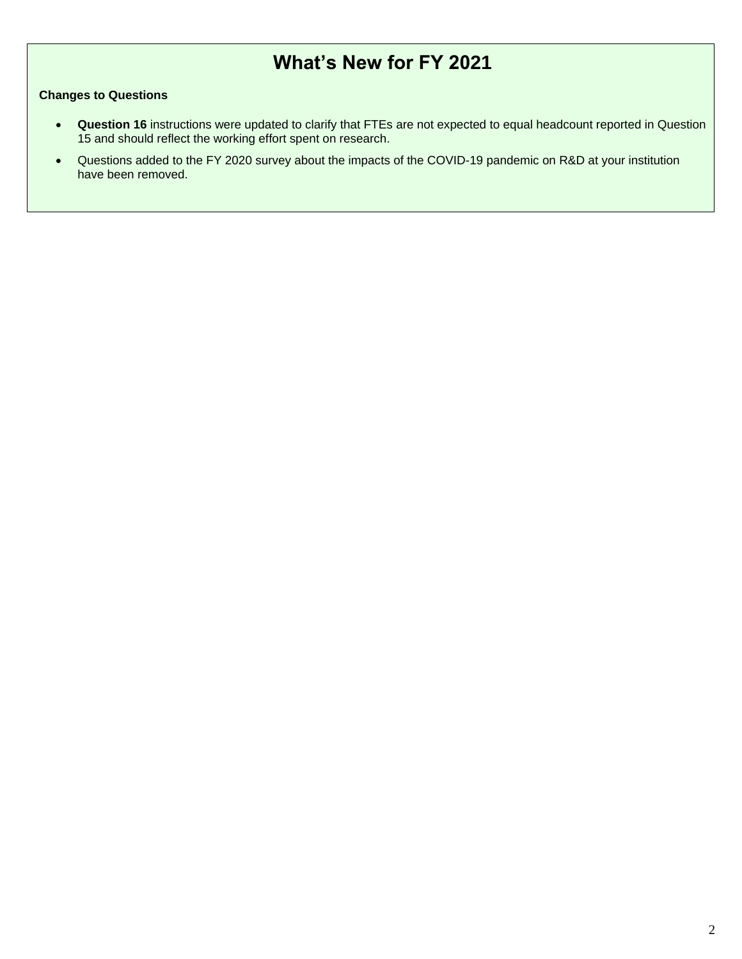# **What's New for FY 2021**

# **Changes to Questions**

- **Question 16** instructions were updated to clarify that FTEs are not expected to equal headcount reported in Question 15 and should reflect the working effort spent on research.
- Questions added to the FY 2020 survey about the impacts of the COVID-19 pandemic on R&D at your institution have been removed.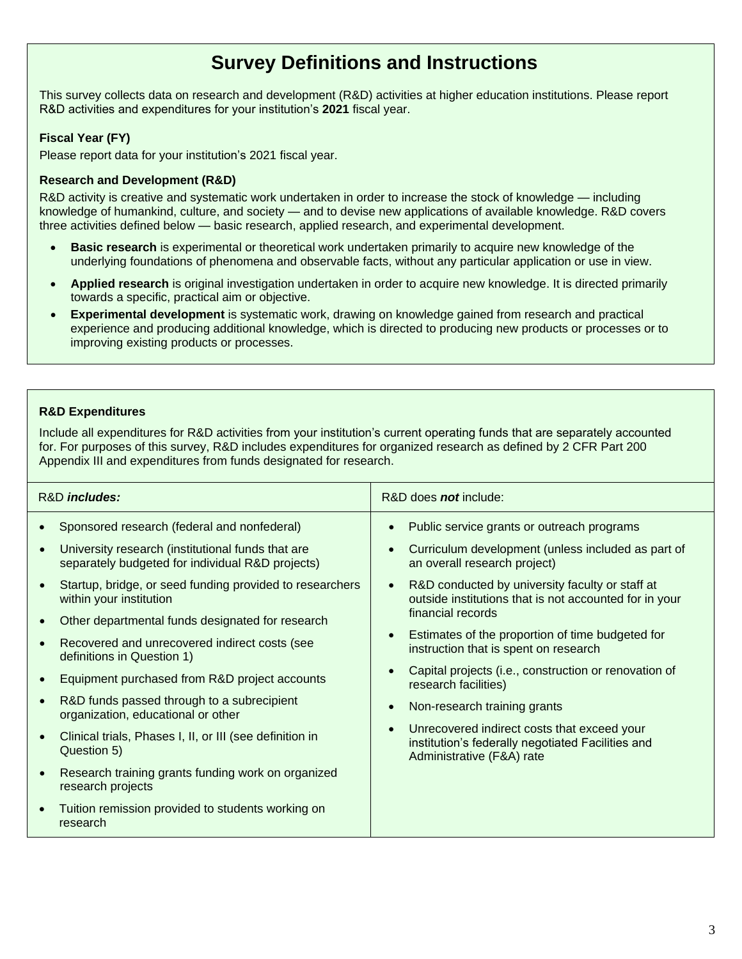# **Survey Definitions and Instructions**

This survey collects data on research and development (R&D) activities at higher education institutions. Please report R&D activities and expenditures for your institution's **2021** fiscal year.

# **Fiscal Year (FY)**

Please report data for your institution's 2021 fiscal year.

# **Research and Development (R&D)**

R&D activity is creative and systematic work undertaken in order to increase the stock of knowledge — including knowledge of humankind, culture, and society — and to devise new applications of available knowledge. R&D covers three activities defined below — basic research, applied research, and experimental development.

- **Basic research** is experimental or theoretical work undertaken primarily to acquire new knowledge of the underlying foundations of phenomena and observable facts, without any particular application or use in view.
- **Applied research** is original investigation undertaken in order to acquire new knowledge. It is directed primarily towards a specific, practical aim or objective.
- **Experimental development** is systematic work, drawing on knowledge gained from research and practical experience and producing additional knowledge, which is directed to producing new products or processes or to improving existing products or processes.

# **R&D Expenditures**

Include all expenditures for R&D activities from your institution's current operating funds that are separately accounted for. For purposes of this survey, R&D includes expenditures for organized research as defined by 2 CFR Part 200 Appendix III and expenditures from funds designated for research.

| Sponsored research (federal and nonfederal)<br>Public service grants or outreach programs<br>$\bullet$<br>University research (institutional funds that are<br>Curriculum development (unless included as part of<br>separately budgeted for individual R&D projects)<br>an overall research project)<br>Startup, bridge, or seed funding provided to researchers<br>R&D conducted by university faculty or staff at<br>$\bullet$<br>outside institutions that is not accounted for in your<br>within your institution<br>financial records<br>Other departmental funds designated for research<br>$\bullet$<br>Estimates of the proportion of time budgeted for<br>Recovered and unrecovered indirect costs (see<br>instruction that is spent on research<br>definitions in Question 1)<br>Capital projects (i.e., construction or renovation of<br>Equipment purchased from R&D project accounts<br>research facilities)<br>R&D funds passed through to a subrecipient<br>Non-research training grants<br>$\bullet$<br>organization, educational or other<br>Unrecovered indirect costs that exceed your<br>$\bullet$<br>Clinical trials, Phases I, II, or III (see definition in<br>institution's federally negotiated Facilities and<br>Question 5)<br>Administrative (F&A) rate<br>Research training grants funding work on organized<br>research projects | R&D <i>includes:</i> | R&D does <b>not</b> include: |
|-----------------------------------------------------------------------------------------------------------------------------------------------------------------------------------------------------------------------------------------------------------------------------------------------------------------------------------------------------------------------------------------------------------------------------------------------------------------------------------------------------------------------------------------------------------------------------------------------------------------------------------------------------------------------------------------------------------------------------------------------------------------------------------------------------------------------------------------------------------------------------------------------------------------------------------------------------------------------------------------------------------------------------------------------------------------------------------------------------------------------------------------------------------------------------------------------------------------------------------------------------------------------------------------------------------------------------------------------------------------|----------------------|------------------------------|
| Tuition remission provided to students working on<br>research                                                                                                                                                                                                                                                                                                                                                                                                                                                                                                                                                                                                                                                                                                                                                                                                                                                                                                                                                                                                                                                                                                                                                                                                                                                                                                   |                      |                              |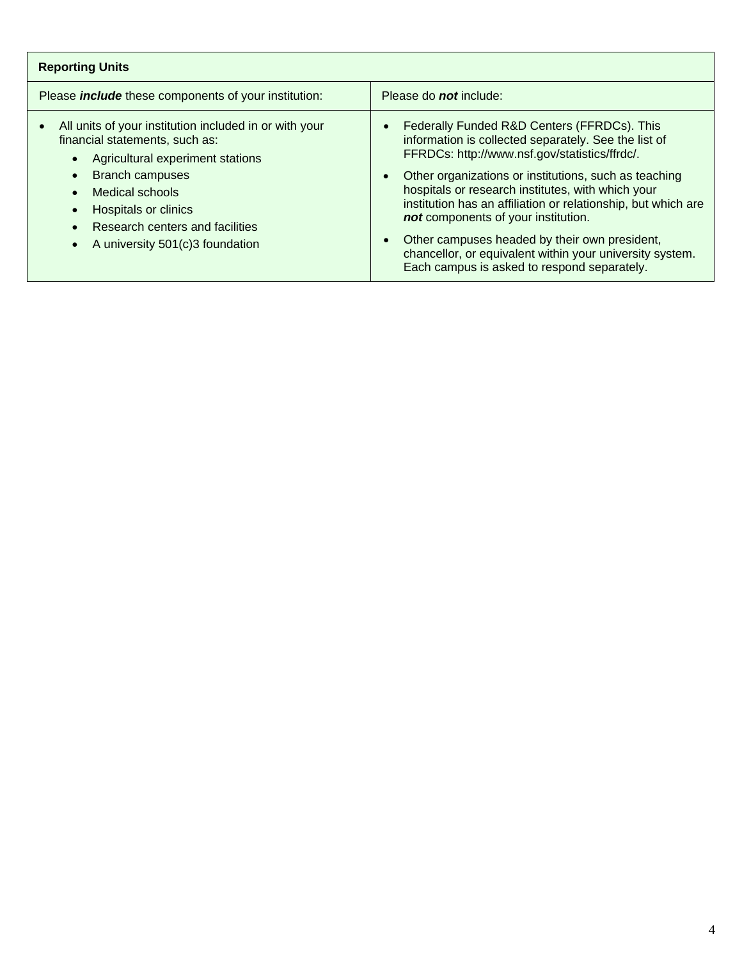| <b>Reporting Units</b>                                                                                                                                                                                                                                                               |                                                                                                                                                                                                                                                                                                                                                                                                                                                                                                                                                                               |  |  |  |  |
|--------------------------------------------------------------------------------------------------------------------------------------------------------------------------------------------------------------------------------------------------------------------------------------|-------------------------------------------------------------------------------------------------------------------------------------------------------------------------------------------------------------------------------------------------------------------------------------------------------------------------------------------------------------------------------------------------------------------------------------------------------------------------------------------------------------------------------------------------------------------------------|--|--|--|--|
| Please <i>include</i> these components of your institution:                                                                                                                                                                                                                          | Please do <b>not</b> include:                                                                                                                                                                                                                                                                                                                                                                                                                                                                                                                                                 |  |  |  |  |
| All units of your institution included in or with your<br>$\bullet$<br>financial statements, such as:<br>Agricultural experiment stations<br><b>Branch campuses</b><br>Medical schools<br>Hospitals or clinics<br>Research centers and facilities<br>A university 501(c)3 foundation | Federally Funded R&D Centers (FFRDCs). This<br>$\bullet$<br>information is collected separately. See the list of<br>FFRDCs: http://www.nsf.gov/statistics/ffrdc/.<br>Other organizations or institutions, such as teaching<br>$\bullet$<br>hospitals or research institutes, with which your<br>institution has an affiliation or relationship, but which are<br>not components of your institution.<br>Other campuses headed by their own president,<br>$\bullet$<br>chancellor, or equivalent within your university system.<br>Each campus is asked to respond separately. |  |  |  |  |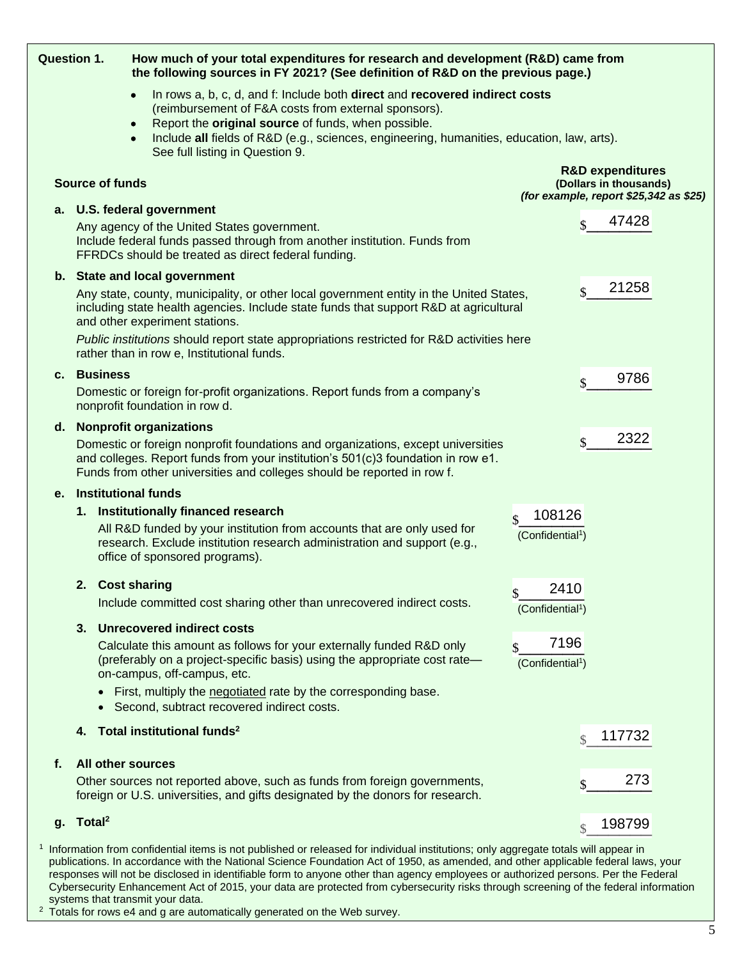| <b>Question 1.</b> |                          | How much of your total expenditures for research and development (R&D) came from<br>the following sources in FY 2021? (See definition of R&D on the previous page.)                                                                                                                                                                                                                            |                                                            |                    |                                                       |  |
|--------------------|--------------------------|------------------------------------------------------------------------------------------------------------------------------------------------------------------------------------------------------------------------------------------------------------------------------------------------------------------------------------------------------------------------------------------------|------------------------------------------------------------|--------------------|-------------------------------------------------------|--|
|                    |                          | In rows a, b, c, d, and f: Include both direct and recovered indirect costs<br>(reimbursement of F&A costs from external sponsors).<br>Report the original source of funds, when possible.<br>Include all fields of R&D (e.g., sciences, engineering, humanities, education, law, arts).<br>See full listing in Question 9.                                                                    |                                                            |                    |                                                       |  |
|                    | <b>Source of funds</b>   |                                                                                                                                                                                                                                                                                                                                                                                                | (for example, report \$25,342 as \$25)                     |                    | <b>R&amp;D expenditures</b><br>(Dollars in thousands) |  |
| а.                 |                          | U.S. federal government<br>Any agency of the United States government.<br>Include federal funds passed through from another institution. Funds from<br>FFRDCs should be treated as direct federal funding.                                                                                                                                                                                     |                                                            | \$                 | 47428                                                 |  |
|                    |                          | b. State and local government<br>Any state, county, municipality, or other local government entity in the United States,<br>including state health agencies. Include state funds that support R&D at agricultural<br>and other experiment stations.<br>Public institutions should report state appropriations restricted for R&D activities here<br>rather than in row e, Institutional funds. |                                                            | $\mathbf{\hat{S}}$ | 21258                                                 |  |
| с.                 | <b>Business</b>          | Domestic or foreign for-profit organizations. Report funds from a company's<br>nonprofit foundation in row d.                                                                                                                                                                                                                                                                                  |                                                            | \$                 | 9786                                                  |  |
| d.                 |                          | <b>Nonprofit organizations</b><br>Domestic or foreign nonprofit foundations and organizations, except universities<br>and colleges. Report funds from your institution's 501(c)3 foundation in row e1.<br>Funds from other universities and colleges should be reported in row f.                                                                                                              |                                                            | \$                 | 2322                                                  |  |
| е.                 |                          | <b>Institutional funds</b>                                                                                                                                                                                                                                                                                                                                                                     |                                                            |                    |                                                       |  |
|                    |                          | 1. Institutionally financed research                                                                                                                                                                                                                                                                                                                                                           | 108126<br>$\mathbf{\hat{S}}$                               |                    |                                                       |  |
|                    |                          | All R&D funded by your institution from accounts that are only used for<br>research. Exclude institution research administration and support (e.g.,<br>office of sponsored programs).                                                                                                                                                                                                          | (Confidential <sup>1</sup> )                               |                    |                                                       |  |
|                    | 2. Cost sharing          | Include committed cost sharing other than unrecovered indirect costs.                                                                                                                                                                                                                                                                                                                          | 2410<br>\$<br>(Confidential <sup>1</sup> )                 |                    |                                                       |  |
|                    |                          | 3. Unrecovered indirect costs<br>Calculate this amount as follows for your externally funded R&D only<br>(preferably on a project-specific basis) using the appropriate cost rate-<br>on-campus, off-campus, etc.<br>First, multiply the negotiated rate by the corresponding base.                                                                                                            | 7196<br>$\mathbf{\hat{s}}$<br>(Confidential <sup>1</sup> ) |                    |                                                       |  |
|                    |                          | Second, subtract recovered indirect costs.                                                                                                                                                                                                                                                                                                                                                     |                                                            |                    |                                                       |  |
|                    | 4.                       | Total institutional funds <sup>2</sup>                                                                                                                                                                                                                                                                                                                                                         |                                                            | $\mathcal{S}$      | 117732                                                |  |
| f.                 | <b>All other sources</b> | Other sources not reported above, such as funds from foreign governments,<br>foreign or U.S. universities, and gifts designated by the donors for research.                                                                                                                                                                                                                                    |                                                            | \$                 | 273                                                   |  |
| g.                 | Total <sup>2</sup>       |                                                                                                                                                                                                                                                                                                                                                                                                |                                                            | $\mathcal{S}$      | 198799                                                |  |
|                    |                          | I Information from confidential items is not published or released for individual institutions; only aggregate totals will appear in                                                                                                                                                                                                                                                           |                                                            |                    |                                                       |  |

Information from confidential items is not published or released for individual institutions; only aggregate totals will appear in publications. In accordance with the National Science Foundation Act of 1950, as amended, and other applicable federal laws, your responses will not be disclosed in identifiable form to anyone other than agency employees or authorized persons. Per the Federal Cybersecurity Enhancement Act of 2015, your data are protected from cybersecurity risks through screening of the federal information systems that transmit your data.

 $2$  Totals for rows e4 and g are automatically generated on the Web survey.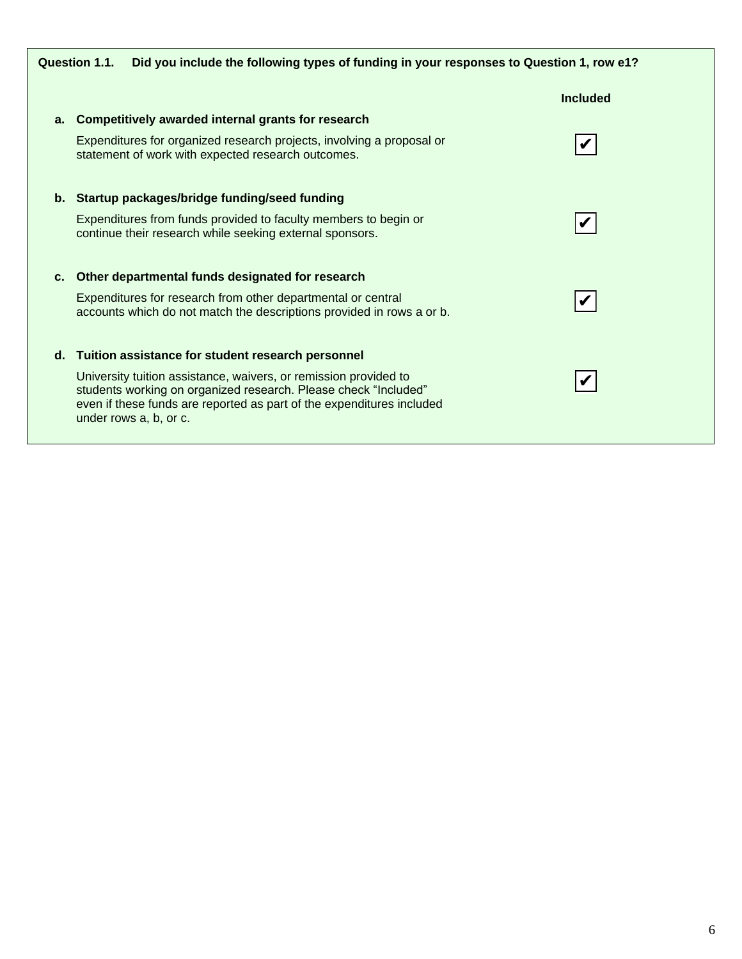|    | Did you include the following types of funding in your responses to Question 1, row e1?<br>Question 1.1.                                                                                                                               |                 |
|----|----------------------------------------------------------------------------------------------------------------------------------------------------------------------------------------------------------------------------------------|-----------------|
|    |                                                                                                                                                                                                                                        | <b>Included</b> |
| а. | Competitively awarded internal grants for research                                                                                                                                                                                     |                 |
|    | Expenditures for organized research projects, involving a proposal or<br>statement of work with expected research outcomes.                                                                                                            |                 |
|    | b. Startup packages/bridge funding/seed funding                                                                                                                                                                                        |                 |
|    | Expenditures from funds provided to faculty members to begin or<br>continue their research while seeking external sponsors.                                                                                                            |                 |
| c. | Other departmental funds designated for research                                                                                                                                                                                       |                 |
|    | Expenditures for research from other departmental or central<br>accounts which do not match the descriptions provided in rows a or b.                                                                                                  |                 |
| d. | Tuition assistance for student research personnel                                                                                                                                                                                      |                 |
|    | University tuition assistance, waivers, or remission provided to<br>students working on organized research. Please check "Included"<br>even if these funds are reported as part of the expenditures included<br>under rows a, b, or c. |                 |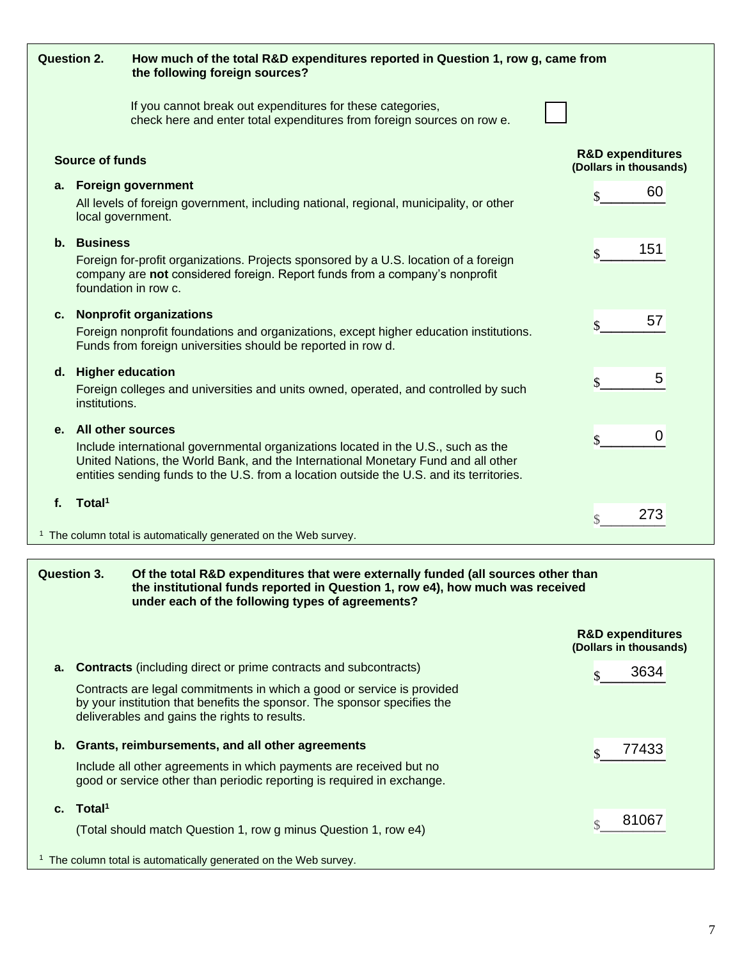| <b>Question 2.</b> |                                      | How much of the total R&D expenditures reported in Question 1, row g, came from<br>the following foreign sources?                                                                                                                                                  |                                                       |
|--------------------|--------------------------------------|--------------------------------------------------------------------------------------------------------------------------------------------------------------------------------------------------------------------------------------------------------------------|-------------------------------------------------------|
|                    |                                      | If you cannot break out expenditures for these categories,<br>check here and enter total expenditures from foreign sources on row e.                                                                                                                               |                                                       |
|                    | <b>Source of funds</b>               |                                                                                                                                                                                                                                                                    | <b>R&amp;D expenditures</b><br>(Dollars in thousands) |
| а.                 | local government.                    | <b>Foreign government</b><br>All levels of foreign government, including national, regional, municipality, or other                                                                                                                                                | 60<br>$\mathbf{\hat{S}}$                              |
| $\mathbf b$ .      | <b>Business</b>                      | Foreign for-profit organizations. Projects sponsored by a U.S. location of a foreign<br>company are not considered foreign. Report funds from a company's nonprofit<br>foundation in row c.                                                                        | 151<br>\$                                             |
| C.                 |                                      | <b>Nonprofit organizations</b><br>Foreign nonprofit foundations and organizations, except higher education institutions.<br>Funds from foreign universities should be reported in row d.                                                                           | 57<br>$\mathbf{\hat{S}}$                              |
|                    | d. Higher education<br>institutions. | Foreign colleges and universities and units owned, operated, and controlled by such                                                                                                                                                                                | 5<br>\$                                               |
| е.                 | <b>All other sources</b>             | Include international governmental organizations located in the U.S., such as the<br>United Nations, the World Bank, and the International Monetary Fund and all other<br>entities sending funds to the U.S. from a location outside the U.S. and its territories. | 0<br>\$                                               |
| $f_{\cdot}$        | Total <sup>1</sup>                   | <sup>1</sup> The column total is automatically generated on the Web survey.                                                                                                                                                                                        | 273<br>$\mathcal{S}$                                  |
|                    |                                      |                                                                                                                                                                                                                                                                    |                                                       |

# **Question 3. Of the total R&D expenditures that were externally funded (all sources other than the institutional funds reported in Question 1, row e4), how much was received under each of the following types of agreements?**

|    |                                                                                                                                                                                                     | <b>R&amp;D expenditures</b><br>(Dollars in thousands) |  |  |  |
|----|-----------------------------------------------------------------------------------------------------------------------------------------------------------------------------------------------------|-------------------------------------------------------|--|--|--|
| а. | <b>Contracts</b> (including direct or prime contracts and subcontracts)                                                                                                                             | 3634                                                  |  |  |  |
|    | Contracts are legal commitments in which a good or service is provided<br>by your institution that benefits the sponsor. The sponsor specifies the<br>deliverables and gains the rights to results. |                                                       |  |  |  |
| b. | Grants, reimbursements, and all other agreements                                                                                                                                                    | 77433                                                 |  |  |  |
|    | Include all other agreements in which payments are received but no<br>good or service other than periodic reporting is required in exchange.                                                        |                                                       |  |  |  |
|    | c. Total <sup>1</sup>                                                                                                                                                                               |                                                       |  |  |  |
|    | (Total should match Question 1, row g minus Question 1, row e4)                                                                                                                                     | 81067                                                 |  |  |  |
|    | <sup>1</sup> The column total is automatically generated on the Web survey.                                                                                                                         |                                                       |  |  |  |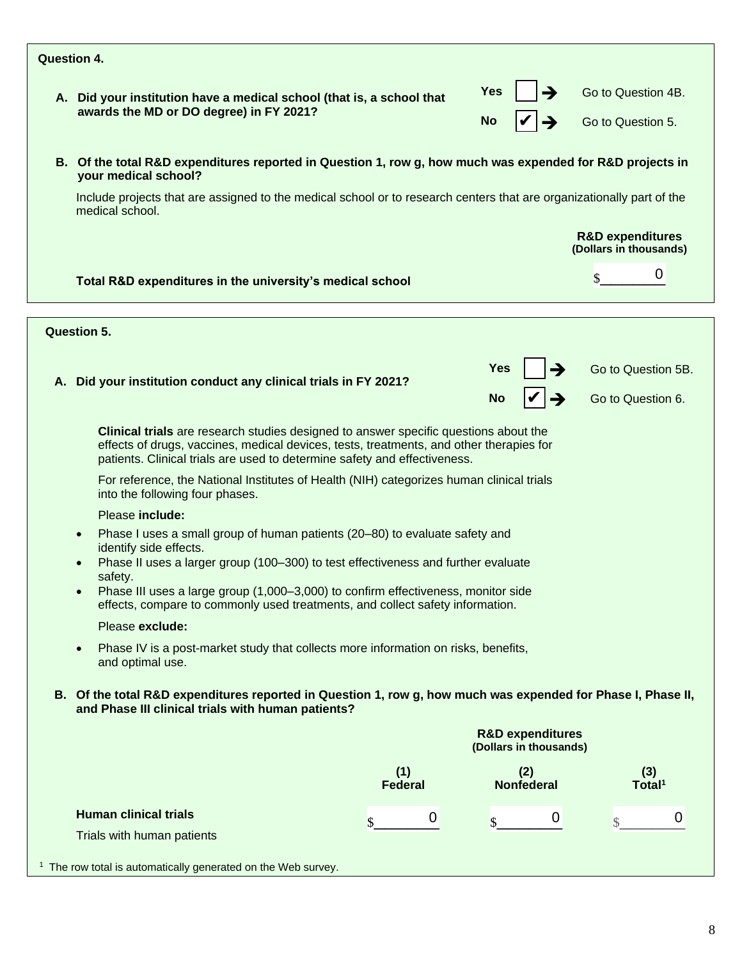| Question 4. |                                                                                                                                                                                                                                                                                                                                                                                                                       |                       |                                                       |                                                       |
|-------------|-----------------------------------------------------------------------------------------------------------------------------------------------------------------------------------------------------------------------------------------------------------------------------------------------------------------------------------------------------------------------------------------------------------------------|-----------------------|-------------------------------------------------------|-------------------------------------------------------|
|             | A. Did your institution have a medical school (that is, a school that<br>awards the MD or DO degree) in FY 2021?                                                                                                                                                                                                                                                                                                      |                       | Yes<br><b>No</b>                                      | Go to Question 4B.<br>Go to Question 5.               |
|             | B. Of the total R&D expenditures reported in Question 1, row g, how much was expended for R&D projects in<br>your medical school?                                                                                                                                                                                                                                                                                     |                       |                                                       |                                                       |
|             | Include projects that are assigned to the medical school or to research centers that are organizationally part of the<br>medical school.                                                                                                                                                                                                                                                                              |                       |                                                       |                                                       |
|             |                                                                                                                                                                                                                                                                                                                                                                                                                       |                       |                                                       | <b>R&amp;D expenditures</b><br>(Dollars in thousands) |
|             | Total R&D expenditures in the university's medical school                                                                                                                                                                                                                                                                                                                                                             |                       |                                                       | 0<br>\$                                               |
|             | <b>Question 5.</b>                                                                                                                                                                                                                                                                                                                                                                                                    |                       |                                                       |                                                       |
|             |                                                                                                                                                                                                                                                                                                                                                                                                                       |                       |                                                       |                                                       |
|             | A. Did your institution conduct any clinical trials in FY 2021?                                                                                                                                                                                                                                                                                                                                                       |                       | Yes<br><b>No</b>                                      | Go to Question 5B.<br>Go to Question 6.               |
|             | <b>Clinical trials</b> are research studies designed to answer specific questions about the<br>effects of drugs, vaccines, medical devices, tests, treatments, and other therapies for<br>patients. Clinical trials are used to determine safety and effectiveness.<br>For reference, the National Institutes of Health (NIH) categorizes human clinical trials<br>into the following four phases.<br>Please include: |                       |                                                       |                                                       |
|             | Phase I uses a small group of human patients (20-80) to evaluate safety and<br>$\bullet$<br>identify side effects.<br>Phase II uses a larger group (100-300) to test effectiveness and further evaluate<br>safety.                                                                                                                                                                                                    |                       |                                                       |                                                       |
|             | Phase III uses a large group (1,000-3,000) to confirm effectiveness, monitor side<br>effects, compare to commonly used treatments, and collect safety information.                                                                                                                                                                                                                                                    |                       |                                                       |                                                       |
|             | Please exclude:                                                                                                                                                                                                                                                                                                                                                                                                       |                       |                                                       |                                                       |
|             | Phase IV is a post-market study that collects more information on risks, benefits,<br>$\bullet$<br>and optimal use.                                                                                                                                                                                                                                                                                                   |                       |                                                       |                                                       |
|             | B. Of the total R&D expenditures reported in Question 1, row g, how much was expended for Phase I, Phase II,<br>and Phase III clinical trials with human patients?                                                                                                                                                                                                                                                    |                       |                                                       |                                                       |
|             |                                                                                                                                                                                                                                                                                                                                                                                                                       |                       | <b>R&amp;D expenditures</b><br>(Dollars in thousands) |                                                       |
|             |                                                                                                                                                                                                                                                                                                                                                                                                                       | (1)<br><b>Federal</b> | (2)<br><b>Nonfederal</b>                              | (3)<br>Total <sup>1</sup>                             |
|             | <b>Human clinical trials</b>                                                                                                                                                                                                                                                                                                                                                                                          | 0<br>\$               | 0<br>$\boldsymbol{\mathsf{S}}$                        | 0<br>\$                                               |
|             | Trials with human patients                                                                                                                                                                                                                                                                                                                                                                                            |                       |                                                       |                                                       |
|             | <sup>1</sup> The row total is automatically generated on the Web survey.                                                                                                                                                                                                                                                                                                                                              |                       |                                                       |                                                       |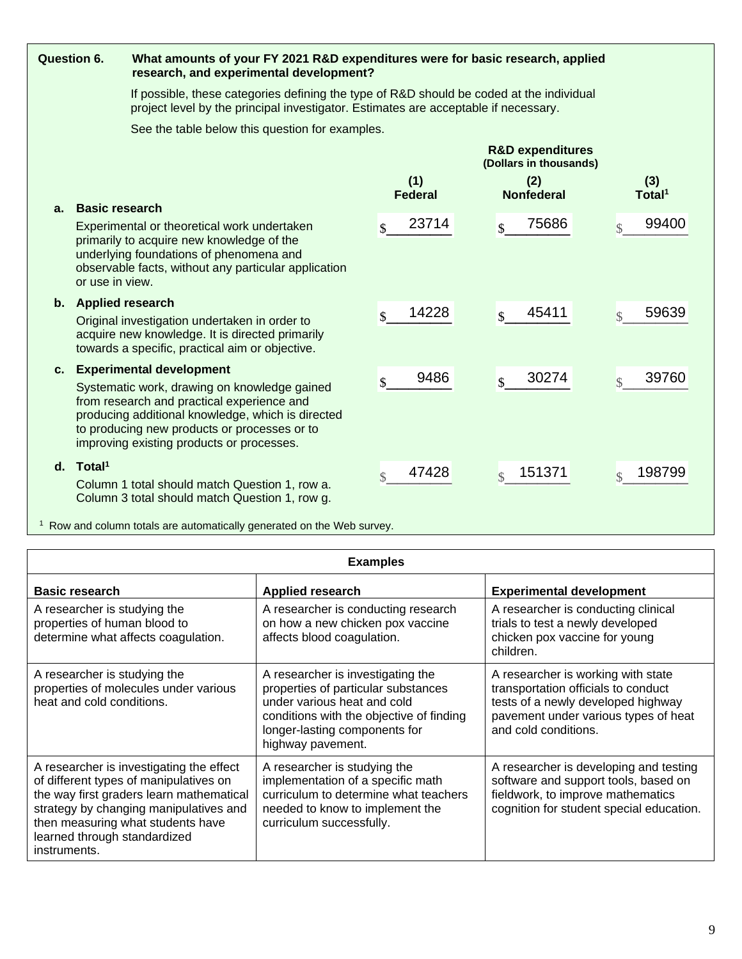| <b>Question 6.</b> |                                          | What amounts of your FY 2021 R&D expenditures were for basic research, applied<br>research, and experimental development?                                                                                                                                                   |                             |                                                       |                                   |  |  |  |  |
|--------------------|------------------------------------------|-----------------------------------------------------------------------------------------------------------------------------------------------------------------------------------------------------------------------------------------------------------------------------|-----------------------------|-------------------------------------------------------|-----------------------------------|--|--|--|--|
|                    |                                          | If possible, these categories defining the type of R&D should be coded at the individual<br>project level by the principal investigator. Estimates are acceptable if necessary.                                                                                             |                             |                                                       |                                   |  |  |  |  |
|                    |                                          | See the table below this question for examples.                                                                                                                                                                                                                             |                             |                                                       |                                   |  |  |  |  |
|                    |                                          |                                                                                                                                                                                                                                                                             |                             | <b>R&amp;D expenditures</b><br>(Dollars in thousands) |                                   |  |  |  |  |
|                    |                                          |                                                                                                                                                                                                                                                                             | (1)<br><b>Federal</b>       | (2)<br><b>Nonfederal</b>                              | (3)<br>Total <sup>1</sup>         |  |  |  |  |
| $a_{-}$            | <b>Basic research</b><br>or use in view. | Experimental or theoretical work undertaken<br>primarily to acquire new knowledge of the<br>underlying foundations of phenomena and<br>observable facts, without any particular application                                                                                 | 23714<br>$\mathbf{\$}$      | 75686<br>$\mathbf{\hat{S}}$                           | 99400<br>$\mathcal{S}$            |  |  |  |  |
|                    | b. Applied research                      | Original investigation undertaken in order to<br>acquire new knowledge. It is directed primarily<br>towards a specific, practical aim or objective.                                                                                                                         | 14228<br>$\mathbf{\hat{S}}$ | 45411<br>$\mathbf{\hat{S}}$                           | 59639<br>$\overline{\mathcal{S}}$ |  |  |  |  |
|                    |                                          | c. Experimental development<br>Systematic work, drawing on knowledge gained<br>from research and practical experience and<br>producing additional knowledge, which is directed<br>to producing new products or processes or to<br>improving existing products or processes. | 9486<br>$\mathcal{S}$       | 30274<br>\$                                           | 39760<br>$\mathcal{S}$            |  |  |  |  |
|                    | $d.$ Total <sup>1</sup>                  | Column 1 total should match Question 1, row a.<br>Column 3 total should match Question 1, row g.                                                                                                                                                                            | 47428<br>$\mathcal{S}$      | 151371<br>\$                                          | 198799<br>$\mathcal{S}$           |  |  |  |  |

<sup>1</sup> Row and column totals are automatically generated on the Web survey.

|                                                                                                                                                                                                                                                               | <b>Examples</b>                                                                                                                                                                                           |                                                                                                                                                                                 |  |  |  |  |  |
|---------------------------------------------------------------------------------------------------------------------------------------------------------------------------------------------------------------------------------------------------------------|-----------------------------------------------------------------------------------------------------------------------------------------------------------------------------------------------------------|---------------------------------------------------------------------------------------------------------------------------------------------------------------------------------|--|--|--|--|--|
| <b>Basic research</b>                                                                                                                                                                                                                                         | <b>Applied research</b>                                                                                                                                                                                   | <b>Experimental development</b>                                                                                                                                                 |  |  |  |  |  |
| A researcher is studying the<br>properties of human blood to<br>determine what affects coagulation.                                                                                                                                                           | A researcher is conducting research<br>on how a new chicken pox vaccine<br>affects blood coagulation.                                                                                                     | A researcher is conducting clinical<br>trials to test a newly developed<br>chicken pox vaccine for young<br>children.                                                           |  |  |  |  |  |
| A researcher is studying the<br>properties of molecules under various<br>heat and cold conditions.                                                                                                                                                            | A researcher is investigating the<br>properties of particular substances<br>under various heat and cold<br>conditions with the objective of finding<br>longer-lasting components for<br>highway pavement. | A researcher is working with state<br>transportation officials to conduct<br>tests of a newly developed highway<br>pavement under various types of heat<br>and cold conditions. |  |  |  |  |  |
| A researcher is investigating the effect<br>of different types of manipulatives on<br>the way first graders learn mathematical<br>strategy by changing manipulatives and<br>then measuring what students have<br>learned through standardized<br>instruments. | A researcher is studying the<br>implementation of a specific math<br>curriculum to determine what teachers<br>needed to know to implement the<br>curriculum successfully.                                 | A researcher is developing and testing<br>software and support tools, based on<br>fieldwork, to improve mathematics<br>cognition for student special education.                 |  |  |  |  |  |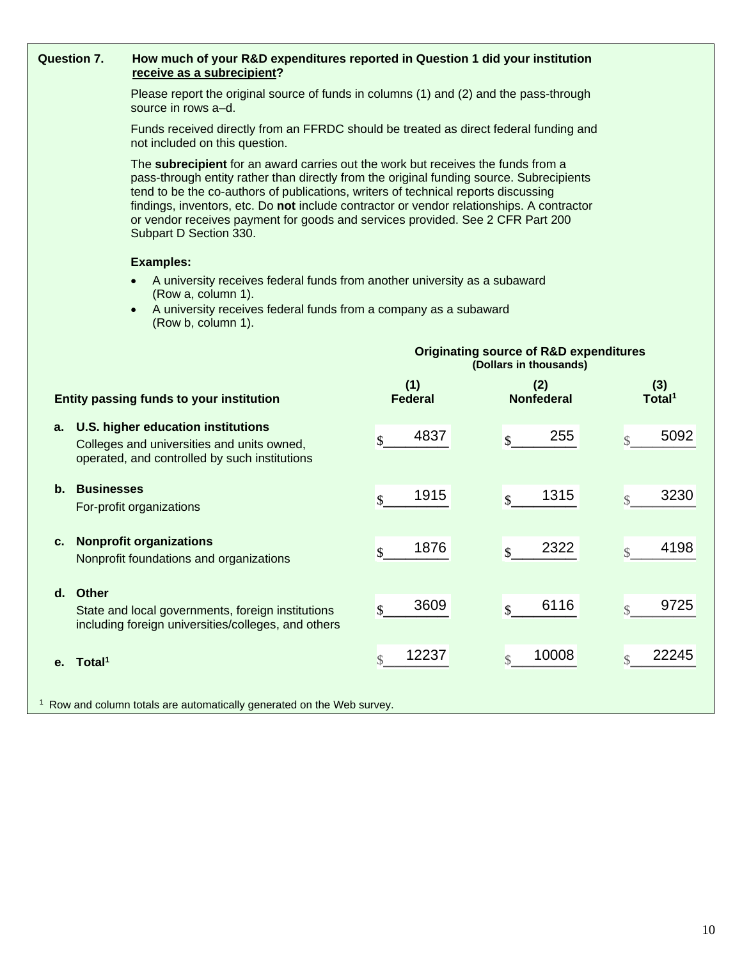|                                                                                                                                                                                                                                                                                                                                                                                                                                                                             | <b>Question 7.</b><br>How much of your R&D expenditures reported in Question 1 did your institution<br>receive as a subrecipient? |                                                                                                                         |                        |                          |                           |  |  |  |
|-----------------------------------------------------------------------------------------------------------------------------------------------------------------------------------------------------------------------------------------------------------------------------------------------------------------------------------------------------------------------------------------------------------------------------------------------------------------------------|-----------------------------------------------------------------------------------------------------------------------------------|-------------------------------------------------------------------------------------------------------------------------|------------------------|--------------------------|---------------------------|--|--|--|
| Please report the original source of funds in columns (1) and (2) and the pass-through<br>source in rows a-d.                                                                                                                                                                                                                                                                                                                                                               |                                                                                                                                   |                                                                                                                         |                        |                          |                           |  |  |  |
|                                                                                                                                                                                                                                                                                                                                                                                                                                                                             |                                                                                                                                   | Funds received directly from an FFRDC should be treated as direct federal funding and<br>not included on this question. |                        |                          |                           |  |  |  |
| The subrecipient for an award carries out the work but receives the funds from a<br>pass-through entity rather than directly from the original funding source. Subrecipients<br>tend to be the co-authors of publications, writers of technical reports discussing<br>findings, inventors, etc. Do not include contractor or vendor relationships. A contractor<br>or vendor receives payment for goods and services provided. See 2 CFR Part 200<br>Subpart D Section 330. |                                                                                                                                   |                                                                                                                         |                        |                          |                           |  |  |  |
| <b>Examples:</b>                                                                                                                                                                                                                                                                                                                                                                                                                                                            |                                                                                                                                   |                                                                                                                         |                        |                          |                           |  |  |  |
| A university receives federal funds from another university as a subaward<br>$\bullet$<br>(Row a, column 1).<br>A university receives federal funds from a company as a subaward<br>$\bullet$                                                                                                                                                                                                                                                                               |                                                                                                                                   |                                                                                                                         |                        |                          |                           |  |  |  |
|                                                                                                                                                                                                                                                                                                                                                                                                                                                                             |                                                                                                                                   | (Row b, column 1).                                                                                                      |                        |                          |                           |  |  |  |
| <b>Originating source of R&amp;D expenditures</b><br>(Dollars in thousands)                                                                                                                                                                                                                                                                                                                                                                                                 |                                                                                                                                   |                                                                                                                         |                        |                          |                           |  |  |  |
|                                                                                                                                                                                                                                                                                                                                                                                                                                                                             | Entity passing funds to your institution                                                                                          |                                                                                                                         | (1)<br><b>Federal</b>  | (2)<br><b>Nonfederal</b> | (3)<br>Total <sup>1</sup> |  |  |  |
|                                                                                                                                                                                                                                                                                                                                                                                                                                                                             |                                                                                                                                   | a. U.S. higher education institutions                                                                                   | 4837                   | 255                      | 5092                      |  |  |  |
|                                                                                                                                                                                                                                                                                                                                                                                                                                                                             |                                                                                                                                   | Colleges and universities and units owned,<br>operated, and controlled by such institutions                             | \$                     | \$                       | $\mathcal{S}$             |  |  |  |
|                                                                                                                                                                                                                                                                                                                                                                                                                                                                             | b. Businesses                                                                                                                     |                                                                                                                         | 1915<br>\$             | 1315<br>\$               | 3230<br>$\mathcal{S}$     |  |  |  |
|                                                                                                                                                                                                                                                                                                                                                                                                                                                                             |                                                                                                                                   | For-profit organizations                                                                                                |                        |                          |                           |  |  |  |
| <b>Nonprofit organizations</b><br>c.                                                                                                                                                                                                                                                                                                                                                                                                                                        |                                                                                                                                   | 1876<br>\$                                                                                                              | 2322<br>\$             | 4198<br>$\mathsf{\$}$    |                           |  |  |  |
|                                                                                                                                                                                                                                                                                                                                                                                                                                                                             |                                                                                                                                   | Nonprofit foundations and organizations                                                                                 |                        |                          |                           |  |  |  |
| d.                                                                                                                                                                                                                                                                                                                                                                                                                                                                          | Other                                                                                                                             |                                                                                                                         |                        |                          |                           |  |  |  |
|                                                                                                                                                                                                                                                                                                                                                                                                                                                                             |                                                                                                                                   | State and local governments, foreign institutions<br>including foreign universities/colleges, and others                | 3609<br>\$             | 6116<br>\$               | 9725<br>\$                |  |  |  |
| е.                                                                                                                                                                                                                                                                                                                                                                                                                                                                          | Total <sup>1</sup>                                                                                                                |                                                                                                                         | 12237<br>$\mathcal{S}$ | 10008<br>\$              | 22245<br>$\mathsf{\$}$    |  |  |  |
|                                                                                                                                                                                                                                                                                                                                                                                                                                                                             | <sup>1</sup> Row and column totals are automatically generated on the Web survey.                                                 |                                                                                                                         |                        |                          |                           |  |  |  |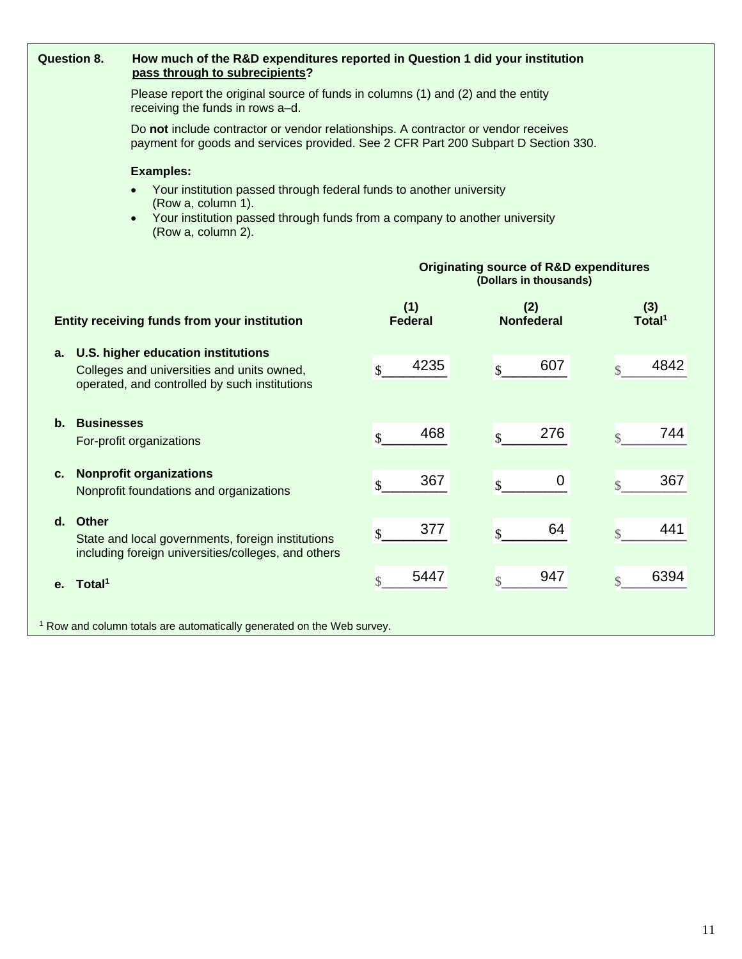| <b>Question 8.</b>                                                                                                                                                                                                      | How much of the R&D expenditures reported in Question 1 did your institution<br>pass through to subrecipients?       |                       |                                  |                           |  |  |  |  |
|-------------------------------------------------------------------------------------------------------------------------------------------------------------------------------------------------------------------------|----------------------------------------------------------------------------------------------------------------------|-----------------------|----------------------------------|---------------------------|--|--|--|--|
|                                                                                                                                                                                                                         | Please report the original source of funds in columns (1) and (2) and the entity<br>receiving the funds in rows a-d. |                       |                                  |                           |  |  |  |  |
| Do not include contractor or vendor relationships. A contractor or vendor receives<br>payment for goods and services provided. See 2 CFR Part 200 Subpart D Section 330.                                                |                                                                                                                      |                       |                                  |                           |  |  |  |  |
|                                                                                                                                                                                                                         | <b>Examples:</b>                                                                                                     |                       |                                  |                           |  |  |  |  |
| Your institution passed through federal funds to another university<br>$\bullet$<br>(Row a, column 1).<br>Your institution passed through funds from a company to another university<br>$\bullet$<br>(Row a, column 2). |                                                                                                                      |                       |                                  |                           |  |  |  |  |
| <b>Originating source of R&amp;D expenditures</b><br>(Dollars in thousands)                                                                                                                                             |                                                                                                                      |                       |                                  |                           |  |  |  |  |
|                                                                                                                                                                                                                         | Entity receiving funds from your institution                                                                         | (1)<br><b>Federal</b> | (2)<br><b>Nonfederal</b>         | (3)<br>Total <sup>1</sup> |  |  |  |  |
| a. U.S. higher education institutions<br>Colleges and universities and units owned,<br>operated, and controlled by such institutions                                                                                    |                                                                                                                      | 4235<br>\$            | 607<br>$\boldsymbol{\mathsf{S}}$ | 4842<br>$\mathbb{S}$      |  |  |  |  |
| <b>Businesses</b><br>b.                                                                                                                                                                                                 | For-profit organizations                                                                                             | 468<br>\$             | 276<br>\$                        | 744<br>$\mathbb{S}$       |  |  |  |  |
| c.                                                                                                                                                                                                                      | <b>Nonprofit organizations</b><br>Nonprofit foundations and organizations                                            | 367<br>\$             | 0<br>$\boldsymbol{\mathsf{S}}$   | 367<br>$\mathbb{S}$       |  |  |  |  |
| d. Other                                                                                                                                                                                                                | State and local governments, foreign institutions<br>including foreign universities/colleges, and others             | 377<br>\$             | 64<br>\$                         | 441<br>$\mathsf{\$}$      |  |  |  |  |
| Total <sup>1</sup><br>е.                                                                                                                                                                                                |                                                                                                                      | 5447<br>$\mathcal{S}$ | 947<br>$\mathsf{\$}$             | 6394<br>$\mathbb{S}$      |  |  |  |  |
|                                                                                                                                                                                                                         | <sup>1</sup> Row and column totals are automatically generated on the Web survey.                                    |                       |                                  |                           |  |  |  |  |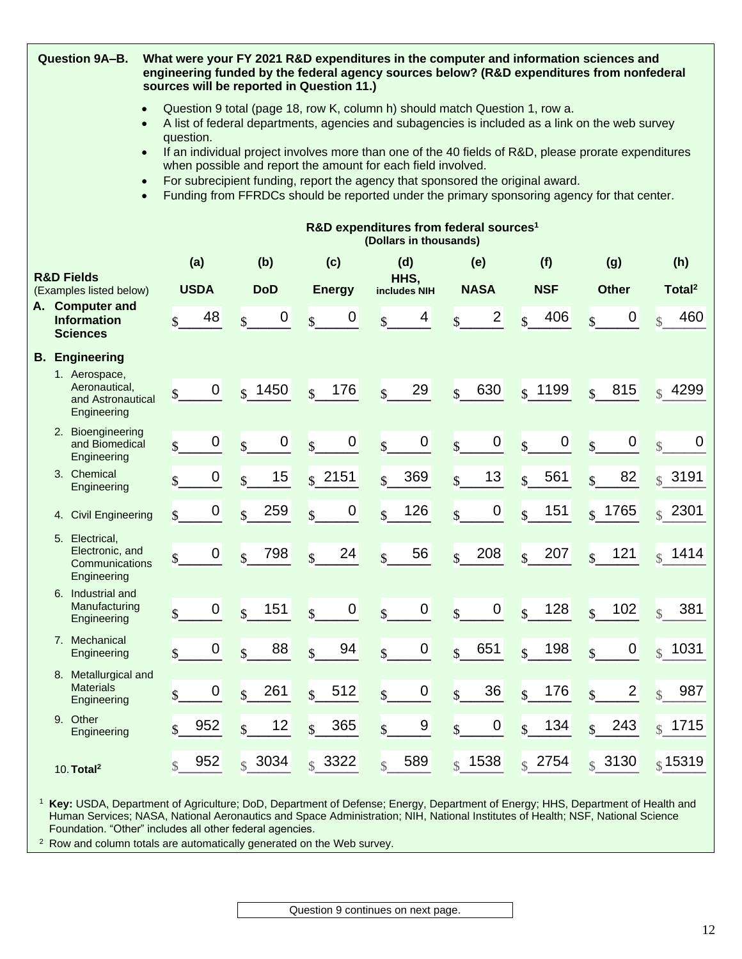|                                                                                                                                                                                                                                                                                                                                                                                  | Question 9A-B.<br>What were your FY 2021 R&D expenditures in the computer and information sciences and<br>engineering funded by the federal agency sources below? (R&D expenditures from nonfederal<br>sources will be reported in Question 11.) |                                                                    |               |                                                            |                                 |                                                                                                                                                                               |                                               |                           |                                      |                                         |
|----------------------------------------------------------------------------------------------------------------------------------------------------------------------------------------------------------------------------------------------------------------------------------------------------------------------------------------------------------------------------------|--------------------------------------------------------------------------------------------------------------------------------------------------------------------------------------------------------------------------------------------------|--------------------------------------------------------------------|---------------|------------------------------------------------------------|---------------------------------|-------------------------------------------------------------------------------------------------------------------------------------------------------------------------------|-----------------------------------------------|---------------------------|--------------------------------------|-----------------------------------------|
| Question 9 total (page 18, row K, column h) should match Question 1, row a.<br>A list of federal departments, agencies and subagencies is included as a link on the web survey<br>question.<br>If an individual project involves more than one of the 40 fields of R&D, please prorate expenditures<br>$\bullet$<br>when possible and report the amount for each field involved. |                                                                                                                                                                                                                                                  |                                                                    |               |                                                            |                                 |                                                                                                                                                                               |                                               |                           |                                      |                                         |
|                                                                                                                                                                                                                                                                                                                                                                                  |                                                                                                                                                                                                                                                  |                                                                    |               |                                                            |                                 | For subrecipient funding, report the agency that sponsored the original award.<br>Funding from FFRDCs should be reported under the primary sponsoring agency for that center. |                                               |                           |                                      |                                         |
|                                                                                                                                                                                                                                                                                                                                                                                  |                                                                                                                                                                                                                                                  |                                                                    |               |                                                            |                                 | R&D expenditures from federal sources <sup>1</sup><br>(Dollars in thousands)                                                                                                  |                                               |                           |                                      |                                         |
|                                                                                                                                                                                                                                                                                                                                                                                  |                                                                                                                                                                                                                                                  | <b>R&amp;D Fields</b>                                              | (a)           | (b)                                                        | (c)                             | (d)                                                                                                                                                                           | (e)                                           | (f)                       | (g)                                  | (h)                                     |
|                                                                                                                                                                                                                                                                                                                                                                                  |                                                                                                                                                                                                                                                  | (Examples listed below)<br>A. Computer and                         | <b>USDA</b>   | <b>DoD</b>                                                 | <b>Energy</b>                   | HHS,<br>includes NIH                                                                                                                                                          | <b>NASA</b>                                   | <b>NSF</b>                | <b>Other</b>                         | Total <sup>2</sup>                      |
|                                                                                                                                                                                                                                                                                                                                                                                  |                                                                                                                                                                                                                                                  | <b>Information</b><br><b>Sciences</b>                              | 48<br>\$      | 0<br>$\mathbf{s}$                                          | 0<br>$\mathbf{s}$               | 4<br>$\mathbf{s}$                                                                                                                                                             | $\overline{\mathbf{c}}$<br>$\mathbf{\hat{S}}$ | 406<br>$\mathbf{s}$       | $\boldsymbol{0}$                     | 460<br>$\triangle$                      |
|                                                                                                                                                                                                                                                                                                                                                                                  |                                                                                                                                                                                                                                                  | <b>B.</b> Engineering                                              |               |                                                            |                                 |                                                                                                                                                                               |                                               |                           |                                      |                                         |
|                                                                                                                                                                                                                                                                                                                                                                                  |                                                                                                                                                                                                                                                  | 1. Aerospace,<br>Aeronautical,<br>and Astronautical<br>Engineering | \$            | 0<br>$ $ \$ 1450                                           | 176<br>$\mathcal{S}$            | 29<br>$\overline{\mathbf{S}}$                                                                                                                                                 | 630<br>$\mathbf{s}$                           | $s$ 1199                  | 815<br>$\mathbf{s}$                  | $\frac{1}{10}$ 4299                     |
|                                                                                                                                                                                                                                                                                                                                                                                  |                                                                                                                                                                                                                                                  | 2. Bioengineering<br>and Biomedical<br>Engineering                 | \$            | $\boldsymbol{0}$<br>$\boldsymbol{0}$<br>$\mathbf{\hat{S}}$ | $\pmb{0}$<br>$\mathbf{s}$       | $\pmb{0}$<br>$\mathbf{\hat{S}}$                                                                                                                                               | $\pmb{0}$<br>$\mathbf{s}$                     | 0<br>$\mathbf{\hat{S}}$   | $\mathbf 0$<br>$\mathbf{s}$          | $\mathbf 0$<br>$\overline{\mathcal{S}}$ |
|                                                                                                                                                                                                                                                                                                                                                                                  |                                                                                                                                                                                                                                                  | 3. Chemical<br>Engineering                                         |               | 15<br>0<br>$\mathbf{\hat{S}}$                              | $\frac{1}{2}$ 2151              | 369<br>$\mathcal{S}$                                                                                                                                                          | 13<br>$\mathbf{s}$                            | 561<br>$\mathbf{s}$       | 82<br>$\mathbf{s}$                   | $s$ 3191                                |
|                                                                                                                                                                                                                                                                                                                                                                                  |                                                                                                                                                                                                                                                  | 4. Civil Engineering                                               | \$            | 0<br>259<br>\$                                             | $\pmb{0}$<br>$\mathbf{\hat{S}}$ | 126<br>$\mathcal{S}$                                                                                                                                                          | $\pmb{0}$<br>$\mathbf{\hat{S}}$               | 151<br>$\mathbf{s}$       | 1765<br>$\mathcal{S}$                | 2301<br>$\mathcal{S}$                   |
|                                                                                                                                                                                                                                                                                                                                                                                  | 5.                                                                                                                                                                                                                                               | Electrical,<br>Electronic, and<br>Communications<br>Engineering    | \$            | $\boldsymbol{0}$<br>798<br>$\mathbf{s}$                    | 24<br>$\mathbf{\hat{S}}$        | 56<br>$\mathbf{\hat{S}}$                                                                                                                                                      | 208<br>$\mathbf{s}$                           | 207<br>$\mathbf{\hat{S}}$ | 121<br>$\mathbf{s}$                  | 1414<br>$\mathcal{S}$                   |
|                                                                                                                                                                                                                                                                                                                                                                                  |                                                                                                                                                                                                                                                  | 6. Industrial and<br>Manufacturing<br>Engineering                  | \$            | $\pmb{0}$<br>151<br>$\mathsf{\$}$                          | $\pmb{0}$<br>$\mathbf{\hat{S}}$ | $\pmb{0}$<br>$\mathbb{S}$                                                                                                                                                     | $\pmb{0}$<br>$\mathsf{\$}$                    | 128<br>$\mathbb{S}$       | 102<br>$\mathbf{s}$                  | 381<br>$\mathcal{S}$                    |
|                                                                                                                                                                                                                                                                                                                                                                                  |                                                                                                                                                                                                                                                  | 7. Mechanical<br>Engineering                                       | $\mathsf{\$}$ | $\pmb{0}$<br>88<br>$\mathsf{\$}$                           | 94<br>$\mathbf{\hat{S}}$        | $\pmb{0}$<br>$\mathsf{\$}$                                                                                                                                                    | 651<br>$\mathsf{\$}$                          | 198<br>$\mathbf{\hat{S}}$ | 0<br>$\mathsf{\$}$                   | 1031<br>$\mathcal{S}$                   |
|                                                                                                                                                                                                                                                                                                                                                                                  |                                                                                                                                                                                                                                                  | 8. Metallurgical and<br><b>Materials</b><br>Engineering            |               | 261<br>$\boldsymbol{0}$<br>$\mathbf{s}$                    | 512<br>$\mathbb{S}$             | $\boldsymbol{0}$<br>$\mathbf{\hat{S}}$                                                                                                                                        | 36<br>$\sqrt{\frac{1}{2}}$                    | 176<br>$\mathbf{\hat{S}}$ | $\overline{c}$<br>$\mathbf{\hat{S}}$ | 987<br>$\mathcal{S}$                    |
|                                                                                                                                                                                                                                                                                                                                                                                  |                                                                                                                                                                                                                                                  | 9. Other<br>Engineering                                            | 952           | 12<br>$\mathbb{S}$                                         | 365<br>$\mathbf{\hat{S}}$       | 9<br>$\mathsf{\$}$                                                                                                                                                            | $\boldsymbol{0}$<br>$\mathbf{\hat{S}}$        | 134<br>$\mathcal{S}$      | 243<br>$\mathcal{S}$                 | $s$ 1715                                |
|                                                                                                                                                                                                                                                                                                                                                                                  |                                                                                                                                                                                                                                                  | 10. Total <sup>2</sup>                                             | 952           | $\frac{1}{3}$ 3034                                         | $\frac{1}{2}$ 3322              | 589<br>$\mathcal{S}$                                                                                                                                                          | 1538<br>$\mathcal{S}$                         | $\frac{1}{2}$ 2754        | $\int$ 3130                          | $\frac{1}{3}$ 15319                     |

<sup>1</sup> **Key:** USDA, Department of Agriculture; DoD, Department of Defense; Energy, Department of Energy; HHS, Department of Health and Human Services; NASA, National Aeronautics and Space Administration; NIH, National Institutes of Health; NSF, National Science Foundation. "Other" includes all other federal agencies.

<sup>2</sup> Row and column totals are automatically generated on the Web survey.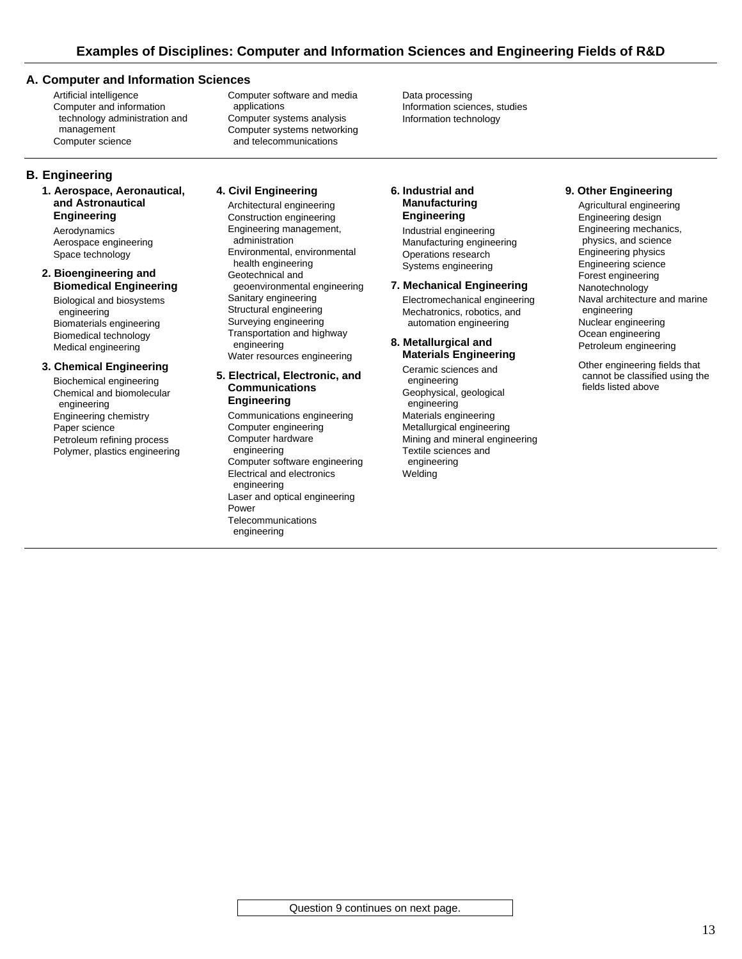#### **A. Computer and Information Sciences**

Artificial intelligence Computer and information technology administration and management Computer science

Computer software and media applications Computer systems analysis Computer systems networking and telecommunications

Data processing Information sciences, studies Information technology

## **B. Engineering**

**1. Aerospace, Aeronautical, and Astronautical Engineering**

Aerodynamics Aerospace engineering Space technology

#### **2. Bioengineering and Biomedical Engineering**

Biological and biosystems engineering Biomaterials engineering Biomedical technology Medical engineering

#### **3. Chemical Engineering**

Biochemical engineering Chemical and biomolecular engineering Engineering chemistry Paper science Petroleum refining process Polymer, plastics engineering

# **4. Civil Engineering**

Architectural engineering Construction engineering Engineering management, administration Environmental, environmental health engineering Geotechnical and geoenvironmental engineering Sanitary engineering Structural engineering Surveying engineering Transportation and highway engineering Water resources engineering

#### **5. Electrical, Electronic, and Communications Engineering**

Communications engineering Computer engineering Computer hardware engineering Computer software engineering Electrical and electronics engineering Laser and optical engineering Power Telecommunications engineering

#### **6. Industrial and Manufacturing Engineering**

Industrial engineering Manufacturing engineering Operations research Systems engineering

### **7. Mechanical Engineering**

Electromechanical engineering Mechatronics, robotics, and automation engineering

#### **8. Metallurgical and Materials Engineering**

Ceramic sciences and engineering Geophysical, geological engineering Materials engineering Metallurgical engineering Mining and mineral engineering Textile sciences and engineering **Welding** 

#### **9. Other Engineering**

Agricultural engineering Engineering design Engineering mechanics, physics, and science Engineering physics Engineering science Forest engineering Nanotechnology Naval architecture and marine engineering Nuclear engineering Ocean engineering Petroleum engineering

Other engineering fields that cannot be classified using the fields listed above

Question 9 continues on next page.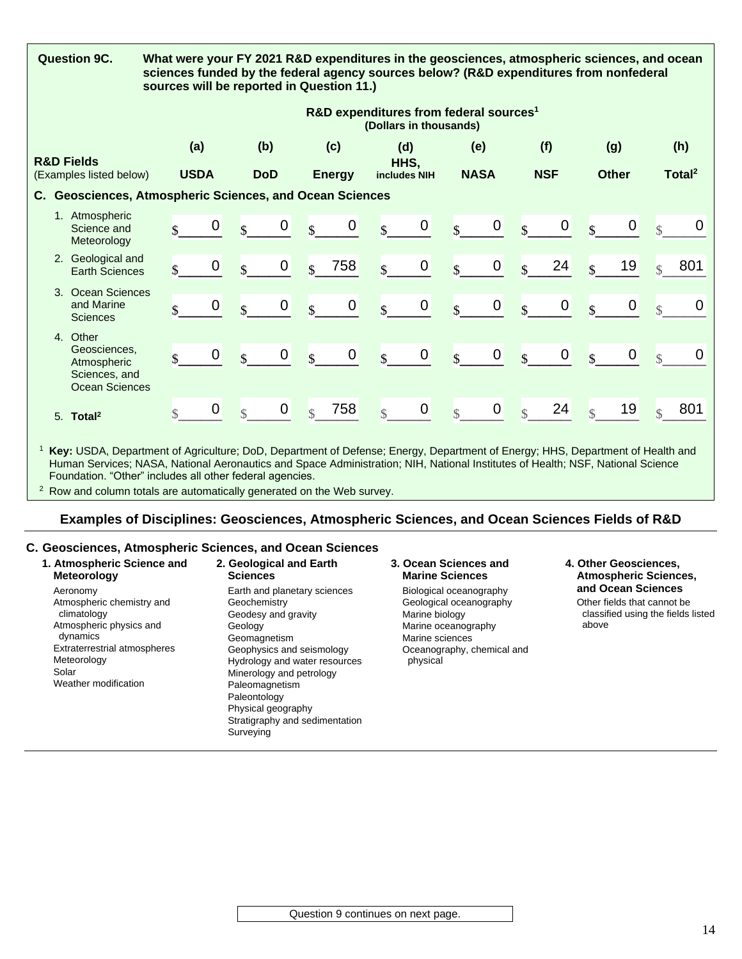|    | <b>Question 9C.</b>                                                                                                           |                                                                              |             |                          |             |                         | What were your FY 2021 R&D expenditures in the geosciences, atmospheric sciences, and ocean<br>sciences funded by the federal agency sources below? (R&D expenditures from nonfederal<br>sources will be reported in Question 11.) |                          |             |                          |                |                          |            |                         |              |               |                    |
|----|-------------------------------------------------------------------------------------------------------------------------------|------------------------------------------------------------------------------|-------------|--------------------------|-------------|-------------------------|------------------------------------------------------------------------------------------------------------------------------------------------------------------------------------------------------------------------------------|--------------------------|-------------|--------------------------|----------------|--------------------------|------------|-------------------------|--------------|---------------|--------------------|
|    |                                                                                                                               | R&D expenditures from federal sources <sup>1</sup><br>(Dollars in thousands) |             |                          |             |                         |                                                                                                                                                                                                                                    |                          |             |                          |                |                          |            |                         |              |               |                    |
|    |                                                                                                                               | (a)                                                                          |             |                          | (b)         |                         | (c)                                                                                                                                                                                                                                |                          | (d)         |                          | (e)            |                          | (f)        |                         | (g)          |               | (h)                |
|    | <b>R&amp;D Fields</b><br>(Examples listed below)                                                                              | <b>USDA</b>                                                                  |             |                          | <b>DoD</b>  |                         | <b>Energy</b>                                                                                                                                                                                                                      | HHS,<br>includes NIH     |             |                          | <b>NASA</b>    |                          | <b>NSF</b> |                         | <b>Other</b> |               | Total <sup>2</sup> |
| C. | <b>Geosciences, Atmospheric Sciences, and Ocean Sciences</b>                                                                  |                                                                              |             |                          |             |                         |                                                                                                                                                                                                                                    |                          |             |                          |                |                          |            |                         |              |               |                    |
|    | 1. Atmospheric<br>Science and<br>Meteorology                                                                                  | $\mathbf{\hat{S}}$                                                           | $\mathbf 0$ | $\mathcal{S}$            | $\mathbf 0$ | $\mathbf{s}$            | $\mathbf 0$                                                                                                                                                                                                                        | \$                       | $\mathbf 0$ | $\overline{\mathbf{S}}$  | $\pmb{0}$      | $\overline{\mathcal{S}}$ | 0          | $\mathbf{Q}$            | $\pmb{0}$    | $\mathbb{R}$  | $\overline{0}$     |
|    | 2. Geological and<br><b>Earth Sciences</b>                                                                                    | \$                                                                           | 0           | $\mathcal{S}$            | 0           | $\mathbf{s}$            | 758                                                                                                                                                                                                                                | $\mathcal{S}$            | $\pmb{0}$   | $\mathbf{s}$             | $\mathbf 0$    | $\overline{\mathbf{S}}$  | 24         | $\overline{\mathbf{S}}$ | 19           | $\mathcal{S}$ | 801                |
|    | 3. Ocean Sciences<br>and Marine<br><b>Sciences</b>                                                                            | $\mathbf{s}$                                                                 | 0           | $\mathbf{s}$             | 0           | $\mathbf{\hat{S}}$      | $\mathbf 0$                                                                                                                                                                                                                        | $\mathbf{\hat{S}}$       | $\pmb{0}$   | $\mathbf{s}$             | $\pmb{0}$      | $\overline{\mathcal{S}}$ | $\pmb{0}$  | $\mathbf{s}$            | $\pmb{0}$    | $\mathcal{S}$ | $\overline{0}$     |
|    | 4. Other<br>Geosciences.<br>Atmospheric<br>Sciences, and<br><b>Ocean Sciences</b>                                             | \$                                                                           | 0           | $\mathbf{s}$             | $\pmb{0}$   | $\overline{\mathbf{S}}$ | $\mathbf 0$                                                                                                                                                                                                                        | $\mathbf{\hat{s}}$       | $\pmb{0}$   | $\mathbf{s}$             | $\pmb{0}$      | $\overline{\mathbf{S}}$  | $\pmb{0}$  | $\overline{\mathbf{S}}$ | $\pmb{0}$    | $\mathcal{S}$ | $\mathbf 0$        |
|    | 5. Total <sup>2</sup>                                                                                                         | $\mathcal{S}$                                                                | 0           | $\overline{\mathcal{S}}$ | $\pmb{0}$   | $\mathcal{S}$           | 758                                                                                                                                                                                                                                | $\overline{\mathcal{S}}$ | $\pmb{0}$   | $\overline{\mathcal{S}}$ | $\overline{0}$ | $\overline{\mathcal{S}}$ | 24         | $\mathbf{\hat{S}}$      | 19           | $\mathcal{S}$ | 801                |
|    | Key: USDA, Department of Agriculture; DoD, Department of Defense; Energy, Department of Energy; HHS, Department of Health and |                                                                              |             |                          |             |                         |                                                                                                                                                                                                                                    |                          |             |                          |                |                          |            |                         |              |               |                    |

Human Services; NASA, National Aeronautics and Space Administration; NIH, National Institutes of Health; NSF, National Science Foundation. "Other" includes all other federal agencies.

<sup>2</sup> Row and column totals are automatically generated on the Web survey.

# **Examples of Disciplines: Geosciences, Atmospheric Sciences, and Ocean Sciences Fields of R&D**

## **C. Geosciences, Atmospheric Sciences, and Ocean Sciences**

| 1. Atmospheric Science and                                                                                                                                                         | 2. Geological and Earth                                                                                                                                                                                                                                                                         | 3. Ocean Sciences and                                                                                                                                    | 4. Other Geosciences.                                                                            |
|------------------------------------------------------------------------------------------------------------------------------------------------------------------------------------|-------------------------------------------------------------------------------------------------------------------------------------------------------------------------------------------------------------------------------------------------------------------------------------------------|----------------------------------------------------------------------------------------------------------------------------------------------------------|--------------------------------------------------------------------------------------------------|
| <b>Meteorology</b>                                                                                                                                                                 | <b>Sciences</b>                                                                                                                                                                                                                                                                                 | <b>Marine Sciences</b>                                                                                                                                   | <b>Atmospheric Sciences,</b>                                                                     |
| Aeronomy<br>Atmospheric chemistry and<br>climatology<br>Atmospheric physics and<br>dynamics<br><b>Extraterrestrial atmospheres</b><br>Meteorology<br>Solar<br>Weather modification | Earth and planetary sciences<br>Geochemistry<br>Geodesy and gravity<br>Geology<br>Geomagnetism<br>Geophysics and seismology<br>Hydrology and water resources<br>Minerology and petrology<br>Paleomagnetism<br>Paleontology<br>Physical geography<br>Stratigraphy and sedimentation<br>Surveying | Biological oceanography<br>Geological oceanography<br>Marine biology<br>Marine oceanography<br>Marine sciences<br>Oceanography, chemical and<br>physical | and Ocean Sciences<br>Other fields that cannot be<br>classified using the fields listed<br>above |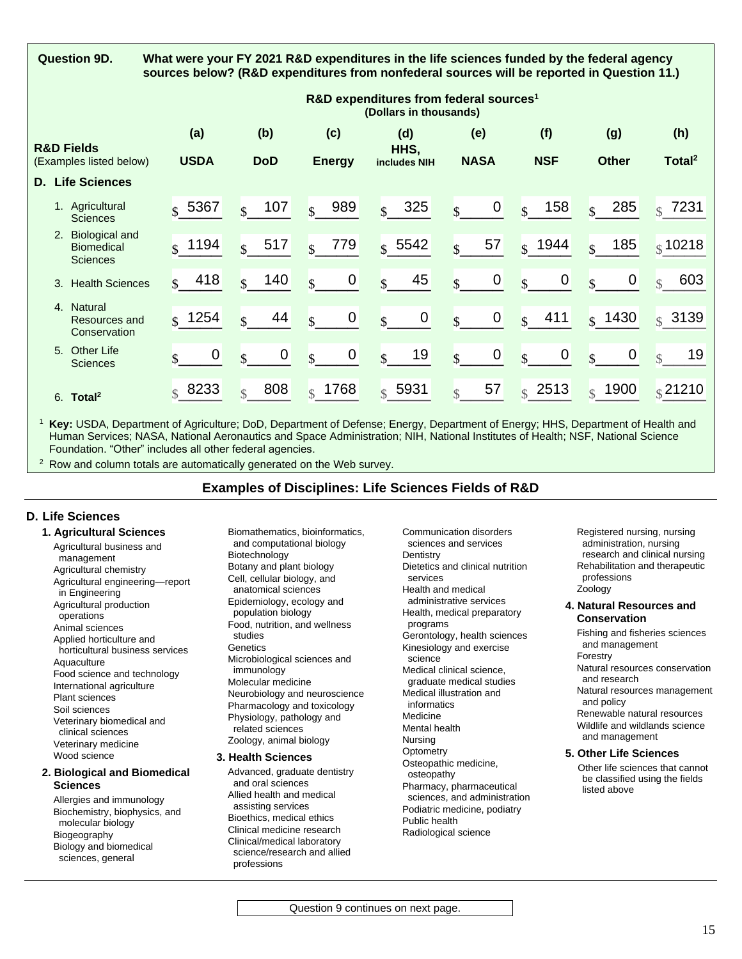| <b>Question 9D.</b> |  |
|---------------------|--|
|---------------------|--|

**Question 9D. What were your FY 2021 R&D expenditures in the life sciences funded by the federal agency sources below? (R&D expenditures from nonfederal sources will be reported in Question 11.)**

|                                                                                 |                       |                          |                                        | R&D expenditures from federal sources <sup>1</sup><br>(Dollars in thousands) |                                   |                                |                                   |                           |
|---------------------------------------------------------------------------------|-----------------------|--------------------------|----------------------------------------|------------------------------------------------------------------------------|-----------------------------------|--------------------------------|-----------------------------------|---------------------------|
| <b>R&amp;D Fields</b><br>(Examples listed below)<br><b>D.</b> Life Sciences     | (a)<br><b>USDA</b>    | (b)<br><b>DoD</b>        | (c)<br><b>Energy</b>                   | (d)<br>HHS,<br>includes NIH                                                  | (e)<br><b>NASA</b>                | (f)<br><b>NSF</b>              | (g)<br><b>Other</b>               | (h)<br>Total <sup>2</sup> |
| 1. Agricultural<br><b>Sciences</b>                                              | 5367<br>$\mathbf{s}$  | 107<br>$\mathbf{S}$      | 989<br>$\overline{\mathbf{s}}$         | 325<br>$\mathbf{s}$                                                          | $\mathbf 0$<br>$\mathcal{S}$      | 158<br>$\mathcal{S}$           | 285<br>$\overline{\mathbf{S}}$    | 7231<br>$\mathbf{s}$      |
| <b>Biological and</b><br>2 <sub>1</sub><br><b>Biomedical</b><br><b>Sciences</b> | 1194<br>$\mathbf{s}$  | 517<br>$\mathcal{R}$     | 779<br>$\mathbf{s}$                    | $s$ 5542                                                                     | 57<br>$\mathbf{s}$                | $s$ 1944                       | 185<br>$\mathcal{S}$              | $\frac{1}{3}$ 10218       |
| <b>Health Sciences</b><br>3.                                                    | 418<br>$\mathbf{R}$   | 140<br>$\mathcal{S}$     | $\boldsymbol{0}$<br>$\mathbf{\hat{s}}$ | 45<br>$\mathcal{S}$                                                          | $\pmb{0}$<br>$\mathbf{s}$         | $\overline{0}$<br>$\mathbf{s}$ | $\boldsymbol{0}$<br>$\mathbf{s}$  | 603<br>$\mathbb{R}$       |
| 4. Natural<br>Resources and<br>Conservation                                     | 1254<br>$\mathbf{C}$  | 44<br>$\hat{\mathbf{r}}$ | $\mathbf 0$<br>$\mathbf{s}$            | $\mathbf 0$<br>$\mathcal{S}$                                                 | $\mathbf 0$<br>\$                 | 411<br>$\overline{\mathbf{S}}$ | $\frac{1}{3}$ 1430                | 3139<br>$\mathcal{S}$     |
| 5. Other Life<br><b>Sciences</b>                                                | 0                     | 0<br>$\mathcal{S}$       | $\boldsymbol{0}$<br>$\mathbf{s}$       | 19<br>$\mathcal{S}$                                                          | $\boldsymbol{0}$<br>$\mathcal{S}$ | 0<br>$\mathbf{s}$              | $\boldsymbol{0}$<br>$\mathcal{S}$ | 19<br>$\mathcal{S}$       |
| 6. Total <sup>2</sup>                                                           | 8233<br>$\mathcal{S}$ | 808<br>$\mathcal{L}$     | $\frac{1}{3}$ 1768                     | $\frac{1}{3}$ 5931                                                           | 57<br>$\mathcal{S}$               | $s$ 2513                       | 1900<br>$\mathcal{S}$             | $\frac{1}{3}$ 21210       |

<sup>1</sup> **Key:** USDA, Department of Agriculture; DoD, Department of Defense; Energy, Department of Energy; HHS, Department of Health and Human Services; NASA, National Aeronautics and Space Administration; NIH, National Institutes of Health; NSF, National Science Foundation. "Other" includes all other federal agencies.

 $2$  Row and column totals are automatically generated on the Web survey.

# **Examples of Disciplines: Life Sciences Fields of R&D**

## **D. Life Sciences**

#### **1. Agricultural Sciences**

Agricultural business and management Agricultural chemistry Agricultural engineering—report in Engineering Agricultural production operations Animal sciences Applied horticulture and horticultural business services **Aquaculture** Food science and technology International agriculture Plant sciences Soil sciences Veterinary biomedical and clinical sciences Veterinary medicine Wood science

#### **2. Biological and Biomedical Sciences**

Allergies and immunology Biochemistry, biophysics, and molecular biology Biogeography Biology and biomedical sciences, general

Biomathematics, bioinformatics, and computational biology Biotechnology Botany and plant biology Cell, cellular biology, and anatomical sciences Epidemiology, ecology and population biology Food, nutrition, and wellness studies Genetics Microbiological sciences and immunology Molecular medicine Neurobiology and neuroscience Pharmacology and toxicology Physiology, pathology and related sciences Zoology, animal biology

#### **3. Health Sciences**

Advanced, graduate dentistry and oral sciences Allied health and medical assisting services Bioethics, medical ethics Clinical medicine research Clinical/medical laboratory science/research and allied professions

Communication disorders sciences and services **Dentistry** Dietetics and clinical nutrition services Health and medical administrative services Health, medical preparatory programs Gerontology, health sciences Kinesiology and exercise science Medical clinical science, graduate medical studies Medical illustration and informatics Medicine Mental health Nursing **Optometry** Osteopathic medicine, osteopathy Pharmacy, pharmaceutical sciences, and administration Podiatric medicine, podiatry Public health Radiological science

Registered nursing, nursing administration, nursing research and clinical nursing Rehabilitation and therapeutic professions Zoology

#### **4. Natural Resources and Conservation**

Fishing and fisheries sciences and management Forestry

Natural resources conservation and research

Natural resources management and policy

Renewable natural resources Wildlife and wildlands science and management

#### **5. Other Life Sciences**

Other life sciences that cannot be classified using the fields listed above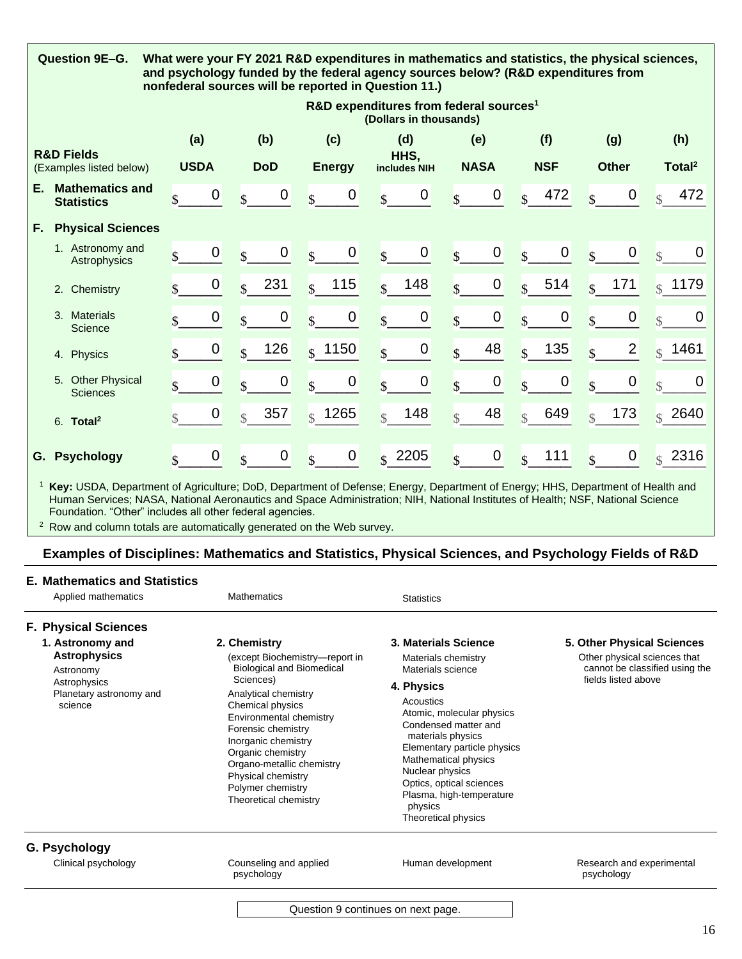|                                                  | Question 9E-G.<br>What were your FY 2021 R&D expenditures in mathematics and statistics, the physical sciences,<br>and psychology funded by the federal agency sources below? (R&D expenditures from<br>nonfederal sources will be reported in Question 11.) |                         |                                                                              |                                        |                                      |                                  |                                   |                                      |                               |  |  |  |  |  |
|--------------------------------------------------|--------------------------------------------------------------------------------------------------------------------------------------------------------------------------------------------------------------------------------------------------------------|-------------------------|------------------------------------------------------------------------------|----------------------------------------|--------------------------------------|----------------------------------|-----------------------------------|--------------------------------------|-------------------------------|--|--|--|--|--|
|                                                  |                                                                                                                                                                                                                                                              |                         | R&D expenditures from federal sources <sup>1</sup><br>(Dollars in thousands) |                                        |                                      |                                  |                                   |                                      |                               |  |  |  |  |  |
|                                                  |                                                                                                                                                                                                                                                              | (a)                     | (b)                                                                          | (d)                                    | (e)                                  | (f)                              | (g)                               | (h)                                  |                               |  |  |  |  |  |
| <b>R&amp;D Fields</b><br>(Examples listed below) |                                                                                                                                                                                                                                                              | <b>USDA</b>             | <b>DoD</b>                                                                   | <b>Energy</b>                          | HHS,<br>includes NIH                 | <b>NASA</b>                      | <b>NSF</b>                        | <b>Other</b>                         | Total <sup>2</sup>            |  |  |  |  |  |
| Е.                                               | <b>Mathematics and</b><br><b>Statistics</b>                                                                                                                                                                                                                  | 0<br>$\mathbf{\hat{S}}$ | 0<br>$\mathcal{L}$                                                           | 0<br>$\overline{\mathbf{S}}$           | $\mathbf 0$<br>$\mathbf{s}$          | $\mathbf 0$<br>$\mathbf{s}$      | 472<br>$\mathcal{S}$              | $\mathbf 0$<br>$\mathbf{\hat{S}}$    | 472<br>$\triangle$            |  |  |  |  |  |
| F.,                                              | <b>Physical Sciences</b>                                                                                                                                                                                                                                     |                         |                                                                              |                                        |                                      |                                  |                                   |                                      |                               |  |  |  |  |  |
|                                                  | 1. Astronomy and<br>Astrophysics                                                                                                                                                                                                                             | 0<br>\$                 | $\mathbf 0$<br>$\mathbf{Q}$                                                  | $\mathbf 0$<br>$\mathbf{\hat{S}}$      | $\pmb{0}$<br>$\overline{\mathbf{S}}$ | $\mathbf 0$<br>$\mathbf{S}$      | $\mathbf 0$<br>$\mathbf{\hat{S}}$ | $\mathbf 0$<br>$\hat{\mathbf{r}}$    | $\overline{0}$<br>$\triangle$ |  |  |  |  |  |
|                                                  | 2. Chemistry                                                                                                                                                                                                                                                 | $\mathbf 0$             | 231<br>$\mathbf{Q}$                                                          | 115<br>$\mathbf{R}$                    | 148<br>$\mathbf{s}$                  | $\mathbf 0$<br>$\mathbf{s}$      | 514<br>$\mathcal{S}$              | 171<br>$\mathcal{S}$                 | $\frac{1}{3}$ 1179            |  |  |  |  |  |
|                                                  | 3. Materials<br>Science                                                                                                                                                                                                                                      | 0                       | 0                                                                            | 0<br>$\mathbf{s}$                      | $\mathbf 0$<br>$\mathbf{s}$          | $\boldsymbol{0}$<br>$\mathbf{s}$ | 0<br>\$                           | $\pmb{0}$<br>\$                      | 0<br>$\mathcal{S}$            |  |  |  |  |  |
|                                                  | Physics<br>4.                                                                                                                                                                                                                                                | 0                       | 126<br>$\mathcal{S}$                                                         | $s$ 1150                               | $\pmb{0}$<br>$\mathcal{L}$           | 48<br>$\mathbf{s}$               | 135<br>$\mathcal{S}$              | $\overline{2}$<br>$\hat{\mathbf{r}}$ | 1461<br>$\mathbb{R}$          |  |  |  |  |  |
|                                                  | 5. Other Physical<br><b>Sciences</b>                                                                                                                                                                                                                         | 0                       | $\mathbf 0$                                                                  | $\boldsymbol{0}$<br>$\hat{\mathbf{r}}$ | $\boldsymbol{0}$<br>$\mathbf{s}$     | $\mathbf 0$<br>$\mathbf{s}$      | 0<br>$\overline{\mathcal{S}}$     | $\mathbf 0$<br>$\ddot{\bm{\zeta}}$   | 0<br>$\mathbf{\hat{z}}$       |  |  |  |  |  |
|                                                  | $6.$ Total <sup>2</sup>                                                                                                                                                                                                                                      | 0                       | 357<br>$\mathcal{S}$                                                         | $\frac{1}{2}$ 1265                     | 148<br>$\mathcal{S}$                 | 48<br>$\mathcal{S}$              | 649<br>$\mathcal{S}$              | 173<br>$\mathcal{S}$                 | 2640<br>$\mathcal{S}$         |  |  |  |  |  |
| G.                                               | <b>Psychology</b>                                                                                                                                                                                                                                            | 0<br>$\mathbf{\hat{S}}$ | 0                                                                            | 0<br>$\overline{\mathbf{S}}$           | $\frac{1}{15}$ 2205                  | $\overline{0}$<br>$\mathbf{s}$   | 111<br>$\mathbf{s}$               | $\mathbf 0$<br>$\hat{\mathbf{r}}$    | 2316<br>$\mathcal{L}$         |  |  |  |  |  |

<sup>1</sup> **Key:** USDA, Department of Agriculture; DoD, Department of Defense; Energy, Department of Energy; HHS, Department of Health and Human Services; NASA, National Aeronautics and Space Administration; NIH, National Institutes of Health; NSF, National Science Foundation. "Other" includes all other federal agencies.

<sup>2</sup> Row and column totals are automatically generated on the Web survey.

# **Examples of Disciplines: Mathematics and Statistics, Physical Sciences, and Psychology Fields of R&D**

#### **E. Mathematics and Statistics**

| Applied mathematics                                                    | <b>Mathematics</b>                                                                                                                                                                                             | <b>Statistics</b>                                                                                                                                                                                                                                       |                                                            |
|------------------------------------------------------------------------|----------------------------------------------------------------------------------------------------------------------------------------------------------------------------------------------------------------|---------------------------------------------------------------------------------------------------------------------------------------------------------------------------------------------------------------------------------------------------------|------------------------------------------------------------|
| <b>F. Physical Sciences</b><br>1. Astronomy and<br><b>Astrophysics</b> | 2. Chemistry<br>(except Biochemistry-report in                                                                                                                                                                 | 3. Materials Science<br>Materials chemistry                                                                                                                                                                                                             | 5. Other Physical Sciences<br>Other physical sciences that |
| Astronomy                                                              | <b>Biological and Biomedical</b><br>Sciences)                                                                                                                                                                  | Materials science                                                                                                                                                                                                                                       | cannot be classified using the<br>fields listed above      |
| Astrophysics<br>Planetary astronomy and                                | Analytical chemistry                                                                                                                                                                                           | 4. Physics                                                                                                                                                                                                                                              |                                                            |
| science                                                                | Chemical physics<br>Environmental chemistry<br>Forensic chemistry<br>Inorganic chemistry<br>Organic chemistry<br>Organo-metallic chemistry<br>Physical chemistry<br>Polymer chemistry<br>Theoretical chemistry | Acoustics<br>Atomic, molecular physics<br>Condensed matter and<br>materials physics<br>Elementary particle physics<br>Mathematical physics<br>Nuclear physics<br>Optics, optical sciences<br>Plasma, high-temperature<br>physics<br>Theoretical physics |                                                            |
| G. Psychology                                                          |                                                                                                                                                                                                                |                                                                                                                                                                                                                                                         |                                                            |
| Clinical psychology                                                    | Counseling and applied<br>psychology                                                                                                                                                                           | Human development                                                                                                                                                                                                                                       | Research and experimental<br>psychology                    |
|                                                                        | Question 9 continues on next page.                                                                                                                                                                             |                                                                                                                                                                                                                                                         |                                                            |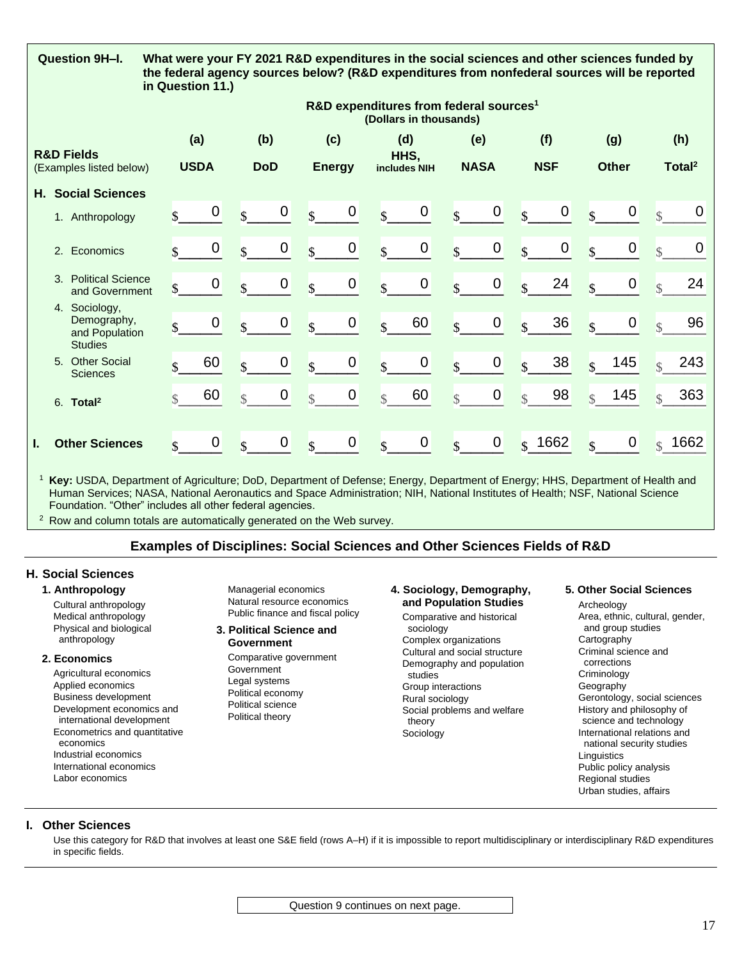| Question 9H-I.                                                   | in Question 11.)                                                             |                              |                                        | What were your FY 2021 R&D expenditures in the social sciences and other sciences funded by<br>the federal agency sources below? (R&D expenditures from nonfederal sources will be reported |                                   |                                        |                                        |                               |  |  |  |  |  |
|------------------------------------------------------------------|------------------------------------------------------------------------------|------------------------------|----------------------------------------|---------------------------------------------------------------------------------------------------------------------------------------------------------------------------------------------|-----------------------------------|----------------------------------------|----------------------------------------|-------------------------------|--|--|--|--|--|
|                                                                  | R&D expenditures from federal sources <sup>1</sup><br>(Dollars in thousands) |                              |                                        |                                                                                                                                                                                             |                                   |                                        |                                        |                               |  |  |  |  |  |
| <b>R&amp;D Fields</b>                                            | (a)                                                                          | (b)                          | (c)                                    | (d)                                                                                                                                                                                         | (e)                               | (f)                                    | (g)                                    | (h)                           |  |  |  |  |  |
| (Examples listed below)                                          | <b>USDA</b>                                                                  | <b>DoD</b>                   | <b>Energy</b>                          | HHS.<br>includes NIH                                                                                                                                                                        | <b>NASA</b>                       | <b>NSF</b>                             | <b>Other</b>                           | Total <sup>2</sup>            |  |  |  |  |  |
| <b>Social Sciences</b><br>Н.                                     |                                                                              |                              |                                        |                                                                                                                                                                                             |                                   |                                        |                                        |                               |  |  |  |  |  |
| 1. Anthropology                                                  | 0                                                                            | 0<br>$\mathbf{R}$            | $\mathbf 0$<br>$\overline{\mathbf{S}}$ | $\boldsymbol{0}$<br>$\overline{\mathbf{S}}$                                                                                                                                                 | $\mathbf 0$<br>$\mathbf{s}$       | $\mathbf 0$<br>$\overline{\mathbf{S}}$ | $\mathbf 0$<br>$\mathbf{\hat{S}}$      | 0<br>$\mathbb{R}$             |  |  |  |  |  |
| 2. Economics                                                     | 0<br>$\mathbf{\hat{S}}$                                                      | $\pmb{0}$<br>$\mathbf{s}$    | $\pmb{0}$<br>$\mathbf{\hat{S}}$        | $\pmb{0}$<br>$\mathbf{\hat{S}}$                                                                                                                                                             | $\pmb{0}$<br>$\mathbf{s}$         | $\overline{0}$<br>$\mathbf{\hat{s}}$   | $\mathbf 0$<br>$\overline{\mathbf{S}}$ | 0<br>$\overline{\mathcal{S}}$ |  |  |  |  |  |
| 3. Political Science<br>and Government                           | 0                                                                            | $\mathbf 0$<br>$\mathbf{s}$  | 0<br>$\mathbf{s}$                      | $\mathbf 0$<br>$\mathbf{s}$                                                                                                                                                                 | $\pmb{0}$<br>$\mathbf{s}$         | 24<br>$\mathbf{s}$                     | $\mathbf 0$<br>$\mathbf{s}$            | 24<br>$\mathbb{R}$            |  |  |  |  |  |
| 4. Sociology,<br>Demography,<br>and Population<br><b>Studies</b> | 0                                                                            | $\mathbf 0$<br>$\mathcal{L}$ | $\pmb{0}$<br>$\mathbf{s}$              | 60<br>$\mathcal{S}$                                                                                                                                                                         | $\pmb{0}$<br>$\mathbf{s}$         | 36<br>$\overline{\mathbf{S}}$          | $\boldsymbol{0}$<br>$\mathbf{\hat{S}}$ | 96<br>$\mathbb{R}$            |  |  |  |  |  |
| 5. Other Social<br><b>Sciences</b>                               | 60                                                                           | $\pmb{0}$<br>$\mathbf{R}$    | $\pmb{0}$<br>$\mathbf{s}$              | $\pmb{0}$<br>$\mathbf{\hat{S}}$                                                                                                                                                             | $\pmb{0}$<br>$\mathbf{\hat{S}}$   | 38<br>$\mathbf{s}$                     | 145<br>$\mathbf{s}$                    | 243<br>$\mathcal{S}$          |  |  |  |  |  |
| $6.$ Total <sup>2</sup>                                          | 60<br>$\mathcal{S}$                                                          | $\pmb{0}$<br>$\mathcal{S}$   | $\boldsymbol{0}$<br>$\mathcal{S}$      | 60<br>$\mathcal{S}$                                                                                                                                                                         | $\boldsymbol{0}$<br>$\mathcal{S}$ | 98<br>$\mathcal{S}$                    | 145<br>$\mathbb{S}$                    | 363<br>$\mathcal{S}$          |  |  |  |  |  |
| <b>Other Sciences</b><br>L.                                      | 0<br>$\mathbf{\hat{z}}$                                                      | $\mathbf 0$<br>$\mathcal{L}$ | $\mathbf 0$<br>$\mathbf{\hat{S}}$      | $\mathbf 0$<br>$\mathbf{s}$                                                                                                                                                                 | $\mathbf 0$<br>$\mathbf{s}$       | $s$ 1662                               | $\mathbf 0$<br>ዼ                       | 1662<br>$\mathbb{R}$          |  |  |  |  |  |

<sup>1</sup> **Key:** USDA, Department of Agriculture; DoD, Department of Defense; Energy, Department of Energy; HHS, Department of Health and Human Services; NASA, National Aeronautics and Space Administration; NIH, National Institutes of Health; NSF, National Science Foundation. "Other" includes all other federal agencies.

 $2$  Row and column totals are automatically generated on the Web survey.

## **Examples of Disciplines: Social Sciences and Other Sciences Fields of R&D**

#### **H. Social Sciences**

#### **1. Anthropology**

Cultural anthropology Medical anthropology Physical and biological anthropology

#### **2. Economics**

Agricultural economics Applied economics Business development Development economics and international development Econometrics and quantitative economics Industrial economics International economics Labor economics

Managerial economics Natural resource economics Public finance and fiscal policy

#### **3. Political Science and Government**

Comparative government Government Legal systems Political economy Political science Political theory

## **4. Sociology, Demography, and Population Studies**

Comparative and historical sociology Complex organizations Cultural and social structure Demography and population studies Group interactions Rural sociology Social problems and welfare theory Sociology

#### **5. Other Social Sciences**

Archeology Area, ethnic, cultural, gender, and group studies **Cartography** Criminal science and corrections Criminology Geography Gerontology, social sciences History and philosophy of science and technology International relations and national security studies **Linguistics** Public policy analysis Regional studies Urban studies, affairs

### **I. Other Sciences**

Use this category for R&D that involves at least one S&E field (rows A–H) if it is impossible to report multidisciplinary or interdisciplinary R&D expenditures in specific fields.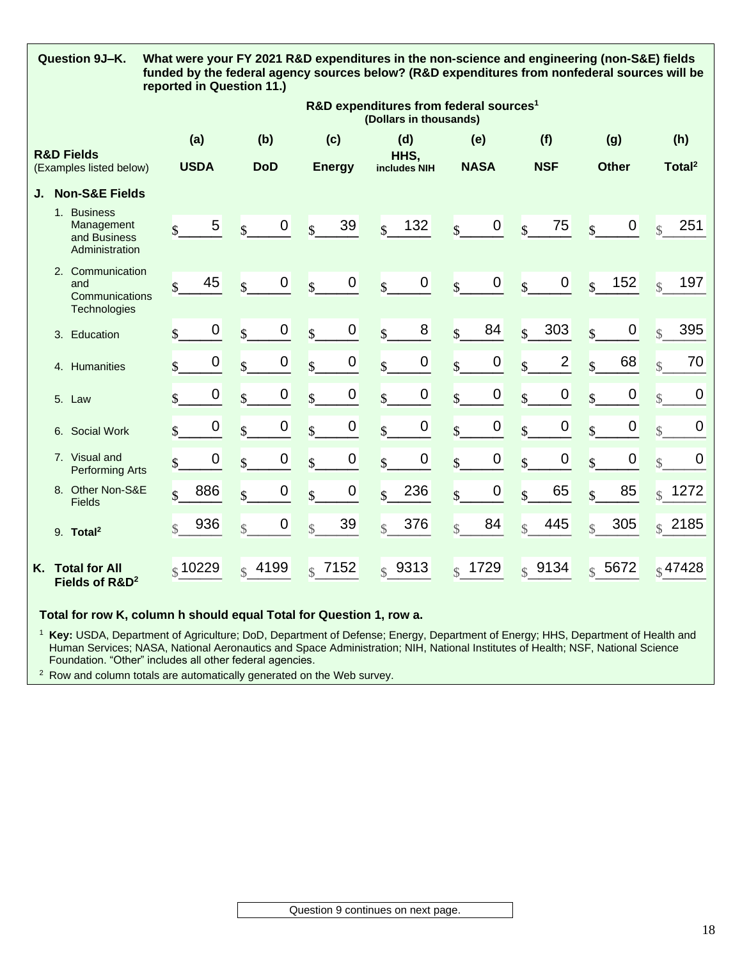|    | Question 9J-K.                                     |                                              | What were your FY 2021 R&D expenditures in the non-science and engineering (non-S&E) fields<br>funded by the federal agency sources below? (R&D expenditures from nonfederal sources will be<br>reported in Question 11.) |                  |                       |                  |                          |                    |                          |                                                                              |                          |                  |                          |                    |                    |              |                          |                     |
|----|----------------------------------------------------|----------------------------------------------|---------------------------------------------------------------------------------------------------------------------------------------------------------------------------------------------------------------------------|------------------|-----------------------|------------------|--------------------------|--------------------|--------------------------|------------------------------------------------------------------------------|--------------------------|------------------|--------------------------|--------------------|--------------------|--------------|--------------------------|---------------------|
|    |                                                    |                                              |                                                                                                                                                                                                                           |                  |                       |                  |                          |                    |                          | R&D expenditures from federal sources <sup>1</sup><br>(Dollars in thousands) |                          |                  |                          |                    |                    |              |                          |                     |
|    | <b>R&amp;D Fields</b>                              |                                              | (a)                                                                                                                                                                                                                       |                  | (b)                   |                  |                          | (c)                |                          | (d)<br>HHS,                                                                  |                          | (e)              |                          | (f)                |                    | (g)          |                          | (h)                 |
|    | (Examples listed below)                            |                                              | <b>USDA</b>                                                                                                                                                                                                               |                  | <b>DoD</b>            |                  |                          | <b>Energy</b>      |                          | includes NIH                                                                 |                          | <b>NASA</b>      |                          | <b>NSF</b>         |                    | <b>Other</b> |                          | Total <sup>2</sup>  |
| J. | <b>Non-S&amp;E Fields</b>                          |                                              |                                                                                                                                                                                                                           |                  |                       |                  |                          |                    |                          |                                                                              |                          |                  |                          |                    |                    |              |                          |                     |
|    | 1. Business                                        | Management<br>and Business<br>Administration | $\mathbf{\hat{S}}$                                                                                                                                                                                                        | 5                | $\mathbf{\hat{S}}$    | 0                | $\mathbf{\hat{s}}$       | 39                 | $\mathbf{s}$             | 132                                                                          | $\overline{\mathbf{s}}$  | $\boldsymbol{0}$ | $\mathbf{s}$             | 75                 | $\mathbf{s}$       | $\mathbf 0$  | $\overline{\mathcal{S}}$ | 251                 |
|    | 2. Communication<br>and                            | Communications<br>Technologies               | $\overline{\mathbb{S}}$                                                                                                                                                                                                   | 45               | $\mathbf{\hat{s}}$    | 0                | $\overline{\mathbf{S}}$  | $\mathbf 0$        | $\overline{\mathcal{S}}$ | $\mathbf 0$                                                                  | $\overline{\mathbf{S}}$  | $\mathbf 0$      | $\overline{\mathbf{S}}$  | $\mathbf 0$        | $\mathbf{s}$       | 152          | $\mathbf{S}$             | 197                 |
|    | 3. Education                                       |                                              | $\mathbf{\hat{S}}$                                                                                                                                                                                                        | 0                | $\mathbf{\hat{S}}$    | $\boldsymbol{0}$ | $\mathbf{\hat{S}}$       | $\pmb{0}$          | $\mathbf{\hat{S}}$       | 8                                                                            | $\mathbf{\hat{S}}$       | 84               | $\overline{\mathbf{s}}$  | 303                | $\mathbf{s}$       | $\pmb{0}$    | $\overline{\mathcal{S}}$ | 395                 |
|    | 4. Humanities                                      |                                              | \$                                                                                                                                                                                                                        | $\mathbf 0$      | $\mathbf{\hat{S}}$    | $\boldsymbol{0}$ | $\mathbf{\hat{S}}$       | 0                  | $\mathbf{\hat{S}}$       | $\boldsymbol{0}$                                                             | $\mathbf{\hat{S}}$       | $\mathbf 0$      | $\mathbf{\hat{S}}$       | $\overline{2}$     | $\mathbf{\hat{s}}$ | 68           | $\overline{\mathcal{S}}$ | 70                  |
|    | 5. Law                                             |                                              | \$                                                                                                                                                                                                                        | $\boldsymbol{0}$ | $\mathbf{\hat{S}}$    | $\boldsymbol{0}$ | $\mathbf{\hat{S}}$       | $\pmb{0}$          | $\mathbf{\hat{S}}$       | $\pmb{0}$                                                                    | $\mathbf{\hat{S}}$       | $\boldsymbol{0}$ | $\mathbf{\hat{S}}$       | $\pmb{0}$          | $\mathbf{s}$       | $\pmb{0}$    | $\overline{\mathcal{S}}$ | $\mathbf 0$         |
|    | 6. Social Work                                     |                                              | \$                                                                                                                                                                                                                        | $\mathbf 0$      | $\mathbf{s}$          | $\boldsymbol{0}$ | $\mathbf{s}$             | 0                  | $\mathbf{s}$             | $\mathbf 0$                                                                  | $\mathbf{s}$             | $\mathbf 0$      | $\mathbf{\hat{s}}$       | $\boldsymbol{0}$   | $\mathbf{s}$       | $\mathbf 0$  | $\mathcal{S}$            | $\mathbf 0$         |
|    | 7. Visual and                                      | <b>Performing Arts</b>                       | \$                                                                                                                                                                                                                        | 0                | $\mathbf{\hat{S}}$    | $\boldsymbol{0}$ | $\mathbf{\hat{S}}$       | $\boldsymbol{0}$   | $\mathbf{\hat{S}}$       | $\pmb{0}$                                                                    | $\mathbf{\hat{S}}$       | $\mathbf 0$      | $\mathbf{\hat{S}}$       | $\pmb{0}$          | $\mathbf{\hat{S}}$ | $\mathbf 0$  | $\overline{\mathcal{S}}$ | $\mathbf 0$         |
|    | 8. Other Non-S&E<br><b>Fields</b>                  |                                              | $\mathcal{S}$                                                                                                                                                                                                             | 886              | \$                    | $\boldsymbol{0}$ | $\mathbf{\hat{S}}$       | 0                  | $\mathbf{\hat{S}}$       | 236                                                                          | $\mathbf{s}$             | $\mathbf 0$      | $\overline{\mathbb{S}}$  | 65                 | $\mathbf{s}$       | 85           | $\mathcal{S}$            | 1272                |
|    | 9. Total <sup>2</sup>                              |                                              | $\mathcal{S}$                                                                                                                                                                                                             | 936              | $\mathcal{S}$         | $\boldsymbol{0}$ | $\overline{\mathcal{S}}$ | 39                 | $\overline{\mathcal{S}}$ | 376                                                                          | $\overline{\mathcal{S}}$ | 84               | $\overline{\mathcal{S}}$ | 445                |                    | 305          | $\mathcal{S}$            | 2185                |
| Κ. | <b>Total for All</b><br>Fields of R&D <sup>2</sup> |                                              | $\frac{1}{3}$ 10229                                                                                                                                                                                                       |                  | 4199<br>$\mathcal{L}$ |                  |                          | $\frac{1}{2}$ 7152 |                          | \$9313                                                                       | $\mathcal{S}$            | 1729             |                          | $\frac{1}{3}$ 9134 |                    | \$5672       |                          | $\frac{1}{8}$ 47428 |

**Total for row K, column h should equal Total for Question 1, row a.**

<sup>1</sup> **Key:** USDA, Department of Agriculture; DoD, Department of Defense; Energy, Department of Energy; HHS, Department of Health and Human Services; NASA, National Aeronautics and Space Administration; NIH, National Institutes of Health; NSF, National Science Foundation. "Other" includes all other federal agencies.

<sup>2</sup> Row and column totals are automatically generated on the Web survey.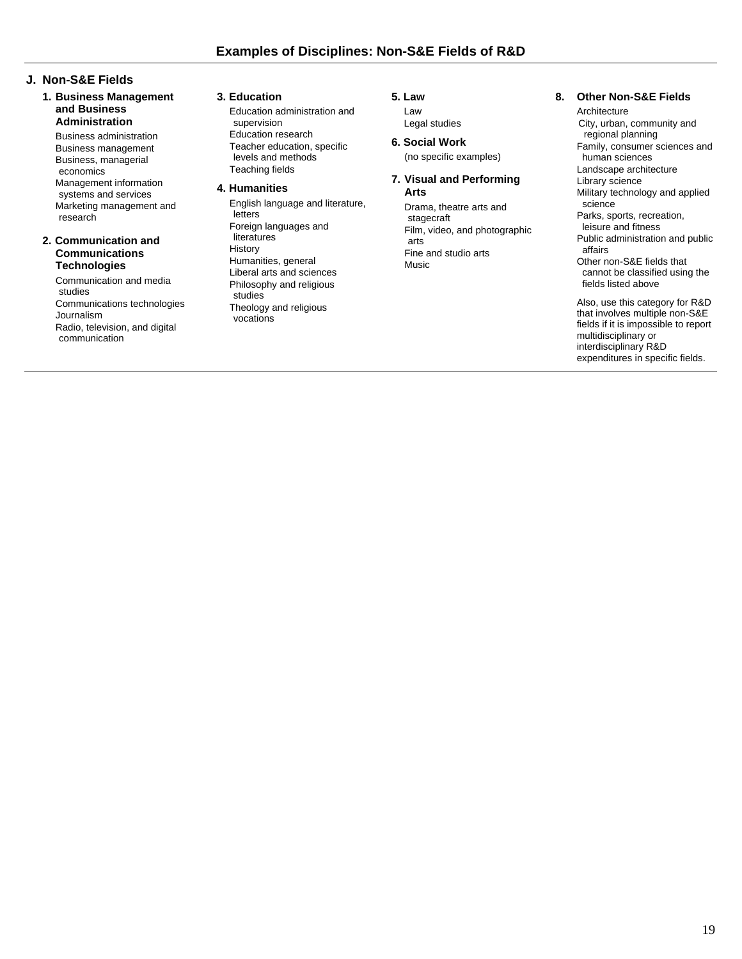## **J. Non-S&E Fields**

**1. Business Management and Business Administration**

Business administration Business management Business, managerial economics Management information

systems and services Marketing management and research

#### **2. Communication and Communications Technologies**

Communication and media studies Communications technologies Journalism Radio, television, and digital communication

#### **3. Education**

Education administration and supervision Education research Teacher education, specific levels and methods Teaching fields

#### **4. Humanities**

English language and literature, letters Foreign languages and literatures **History** Humanities, general Liberal arts and sciences Philosophy and religious studies Theology and religious vocations

**5. Law** Law

Legal studies

**6. Social Work** (no specific examples)

#### **7. Visual and Performing Arts**

Drama, theatre arts and stagecraft Film, video, and photographic arts Fine and studio arts **Music** 

#### **8. Other Non-S&E Fields**

Architecture City, urban, community and regional planning Family, consumer sciences and human sciences Landscape architecture Library science Military technology and applied science Parks, sports, recreation, leisure and fitness Public administration and public affairs Other non-S&E fields that cannot be classified using the fields listed above Also, use this category for R&D that involves multiple non-S&E

fields if it is impossible to report multidisciplinary or interdisciplinary R&D expenditures in specific fields.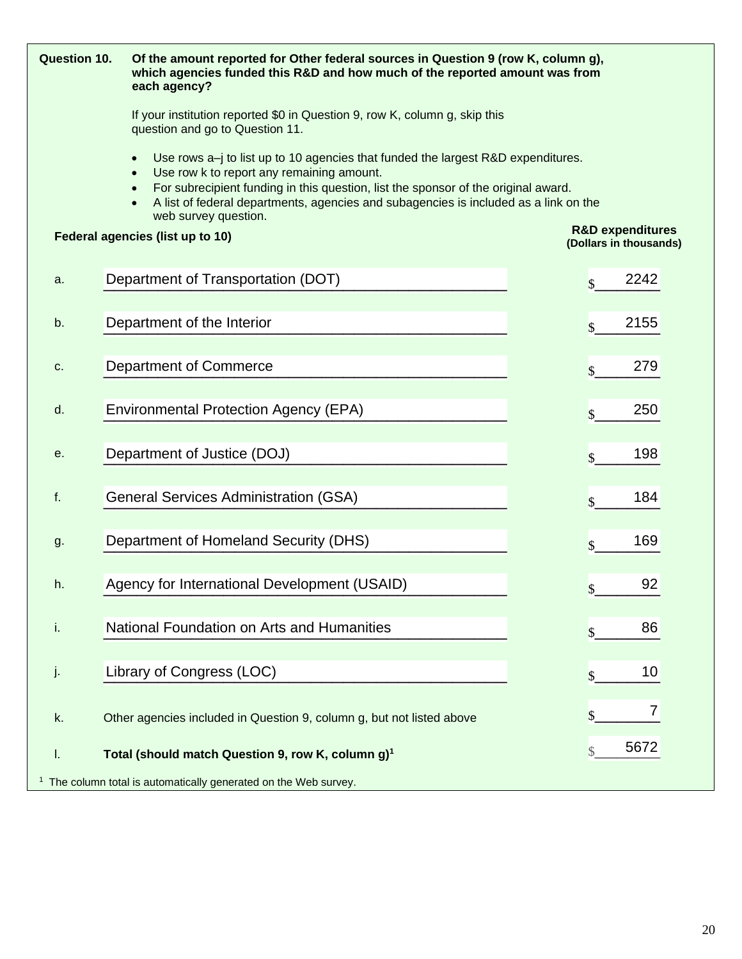| <b>Question 10.</b> | Of the amount reported for Other federal sources in Question 9 (row K, column g),<br>which agencies funded this R&D and how much of the reported amount was from<br>each agency?                                                                                                                                                                                                           |                                                       |  |  |  |  |  |  |  |  |  |
|---------------------|--------------------------------------------------------------------------------------------------------------------------------------------------------------------------------------------------------------------------------------------------------------------------------------------------------------------------------------------------------------------------------------------|-------------------------------------------------------|--|--|--|--|--|--|--|--|--|
|                     | If your institution reported \$0 in Question 9, row K, column g, skip this<br>question and go to Question 11.                                                                                                                                                                                                                                                                              |                                                       |  |  |  |  |  |  |  |  |  |
|                     | Use rows $a$ -j to list up to 10 agencies that funded the largest R&D expenditures.<br>$\bullet$<br>Use row k to report any remaining amount.<br>$\bullet$<br>For subrecipient funding in this question, list the sponsor of the original award.<br>$\bullet$<br>A list of federal departments, agencies and subagencies is included as a link on the<br>$\bullet$<br>web survey question. |                                                       |  |  |  |  |  |  |  |  |  |
|                     | Federal agencies (list up to 10)                                                                                                                                                                                                                                                                                                                                                           | <b>R&amp;D expenditures</b><br>(Dollars in thousands) |  |  |  |  |  |  |  |  |  |
| a.                  | Department of Transportation (DOT)                                                                                                                                                                                                                                                                                                                                                         | 2242<br>$\mathbf{\hat{s}}$                            |  |  |  |  |  |  |  |  |  |
| b.                  | Department of the Interior                                                                                                                                                                                                                                                                                                                                                                 | 2155<br>$\mathbf{\hat{s}}$                            |  |  |  |  |  |  |  |  |  |
| C.                  | Department of Commerce                                                                                                                                                                                                                                                                                                                                                                     | 279<br>$\mathbf{\hat{S}}$                             |  |  |  |  |  |  |  |  |  |
| d.                  | <b>Environmental Protection Agency (EPA)</b>                                                                                                                                                                                                                                                                                                                                               | 250<br>$\mathbf{\hat{S}}$                             |  |  |  |  |  |  |  |  |  |
| е.                  | Department of Justice (DOJ)                                                                                                                                                                                                                                                                                                                                                                | 198<br>$\mathbf{\hat{S}}$                             |  |  |  |  |  |  |  |  |  |
| f.                  | <b>General Services Administration (GSA)</b>                                                                                                                                                                                                                                                                                                                                               | 184<br>$\mathbf{\hat{S}}$                             |  |  |  |  |  |  |  |  |  |
| g.                  | Department of Homeland Security (DHS)                                                                                                                                                                                                                                                                                                                                                      | 169<br>$\mathbf{\hat{S}}$                             |  |  |  |  |  |  |  |  |  |
| h.                  | Agency for International Development (USAID)                                                                                                                                                                                                                                                                                                                                               | 92<br>$\mathbf{\hat{C}}$                              |  |  |  |  |  |  |  |  |  |
| j,                  | National Foundation on Arts and Humanities                                                                                                                                                                                                                                                                                                                                                 | 86                                                    |  |  |  |  |  |  |  |  |  |
| J.                  | Library of Congress (LOC)                                                                                                                                                                                                                                                                                                                                                                  | 10                                                    |  |  |  |  |  |  |  |  |  |
| k.                  | Other agencies included in Question 9, column g, but not listed above                                                                                                                                                                                                                                                                                                                      | 7                                                     |  |  |  |  |  |  |  |  |  |
| I.                  | Total (should match Question 9, row K, column g) <sup>1</sup>                                                                                                                                                                                                                                                                                                                              | 5672                                                  |  |  |  |  |  |  |  |  |  |
|                     | <sup>1</sup> The column total is automatically generated on the Web survey.                                                                                                                                                                                                                                                                                                                |                                                       |  |  |  |  |  |  |  |  |  |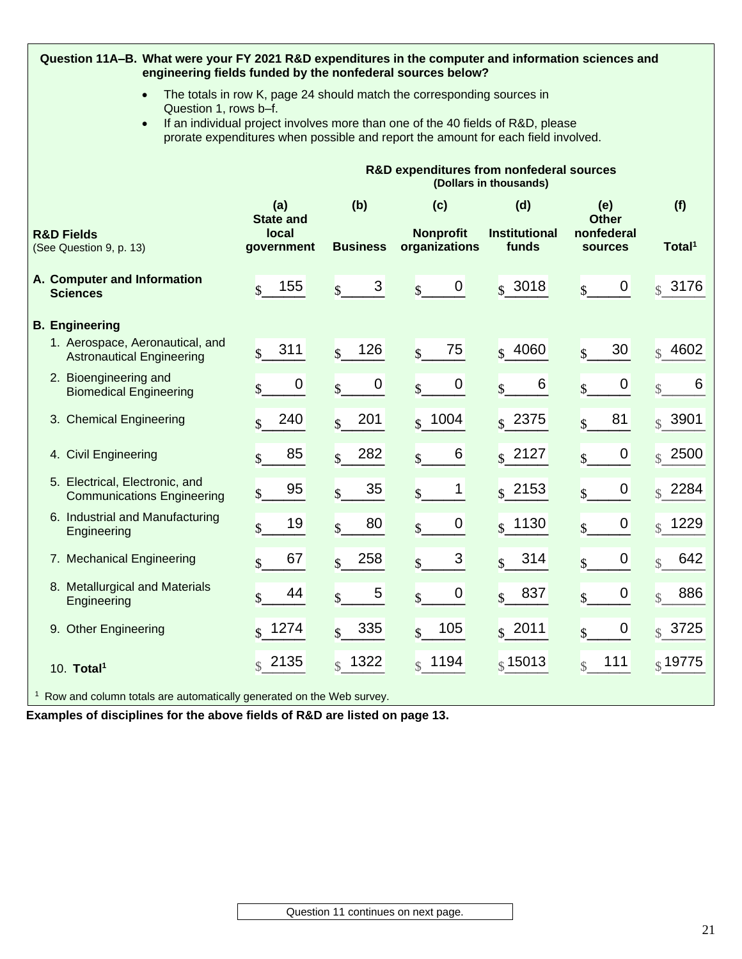| Question 11A-B. What were your FY 2021 R&D expenditures in the computer and information sciences and<br>engineering fields funded by the nonfederal sources below?                                                                                                                   |                           |                                        |                                             |                               |                                        |                       |  |  |  |  |  |  |  |
|--------------------------------------------------------------------------------------------------------------------------------------------------------------------------------------------------------------------------------------------------------------------------------------|---------------------------|----------------------------------------|---------------------------------------------|-------------------------------|----------------------------------------|-----------------------|--|--|--|--|--|--|--|
| The totals in row K, page 24 should match the corresponding sources in<br>$\bullet$<br>Question 1, rows b-f.<br>If an individual project involves more than one of the 40 fields of R&D, please<br>prorate expenditures when possible and report the amount for each field involved. |                           |                                        |                                             |                               |                                        |                       |  |  |  |  |  |  |  |
| R&D expenditures from nonfederal sources<br>(Dollars in thousands)                                                                                                                                                                                                                   |                           |                                        |                                             |                               |                                        |                       |  |  |  |  |  |  |  |
| (a)<br>(b)<br>(d)<br>(f)<br>(c)<br>(e)<br><b>Other</b><br><b>State and</b>                                                                                                                                                                                                           |                           |                                        |                                             |                               |                                        |                       |  |  |  |  |  |  |  |
| <b>R&amp;D Fields</b><br>(See Question 9, p. 13)                                                                                                                                                                                                                                     | local<br>government       | <b>Business</b>                        | <b>Nonprofit</b><br>organizations           | <b>Institutional</b><br>funds | nonfederal<br><b>sources</b>           | Total <sup>1</sup>    |  |  |  |  |  |  |  |
| A. Computer and Information<br><b>Sciences</b>                                                                                                                                                                                                                                       | 155<br>$\mathcal{S}$      | 3<br>$\mathsf{\$}$                     | $\boldsymbol{0}$<br>$\overline{\mathbb{S}}$ | $s$ 3018                      | $\boldsymbol{0}$                       | $\sqrt{$}3176$        |  |  |  |  |  |  |  |
| <b>B.</b> Engineering                                                                                                                                                                                                                                                                |                           |                                        |                                             |                               |                                        |                       |  |  |  |  |  |  |  |
| 1. Aerospace, Aeronautical, and<br><b>Astronautical Engineering</b>                                                                                                                                                                                                                  | 311<br>$\mathbf{\hat{s}}$ | 126<br>$\mathcal{S}$                   | 75<br>$\mathbf{s}$                          | $s$ 4060                      | 30<br>$\mathcal{S}$                    | 4602<br>$\mathcal{S}$ |  |  |  |  |  |  |  |
| 2. Bioengineering and<br><b>Biomedical Engineering</b>                                                                                                                                                                                                                               | $\boldsymbol{0}$          | $\boldsymbol{0}$<br>$\mathbf{\hat{s}}$ | $\boldsymbol{0}$<br>$\mathbf{s}$            | 6                             | $\boldsymbol{0}$                       | 6<br>$\mathcal{S}$    |  |  |  |  |  |  |  |
| 3. Chemical Engineering                                                                                                                                                                                                                                                              | 240<br>$\mathbf{s}$       | 201<br>$\mathbb{S}$                    | $ $ \$ 1004                                 | $s$ 2375                      | 81<br>$\mathcal{S}$                    | $\frac{1}{3}$ 3901    |  |  |  |  |  |  |  |
| 4. Civil Engineering                                                                                                                                                                                                                                                                 | 85<br>$\mathbf{\hat{S}}$  | 282<br>$\mathbf{\hat{S}}$              | 6<br>$\mathsf{\$}$                          | $\sqrt{s}$ 2127               | $\boldsymbol{0}$<br>$\mathbb{S}$       | $\frac{1}{3}$ 2500    |  |  |  |  |  |  |  |
| 5. Electrical, Electronic, and<br><b>Communications Engineering</b>                                                                                                                                                                                                                  | 95<br>$\mathcal{S}$       | 35<br>\$                               | 1<br>$\mathsf{\$}$                          | $s$ 2153                      | $\boldsymbol{0}$<br>$\mathbf{\hat{S}}$ | $\frac{1}{3}$ 2284    |  |  |  |  |  |  |  |
| 6. Industrial and Manufacturing<br>Engineering                                                                                                                                                                                                                                       | 19<br>\$                  | 80<br>$\mathsf{\$}$                    | 0<br>$\mathbf{\hat{S}}$                     | $s$ 1130                      | $\boldsymbol{0}$                       | $ $$ 1229             |  |  |  |  |  |  |  |
| 7. Mechanical Engineering                                                                                                                                                                                                                                                            | 67<br>$\mathbf{s}$        | 258<br>\$                              | 3                                           | 314                           | 0                                      | 642                   |  |  |  |  |  |  |  |
| 8. Metallurgical and Materials<br>Engineering                                                                                                                                                                                                                                        | 44<br>\$                  | 5<br>\$                                | $\mathbf 0$<br>\$                           | 837<br>$\mathsf{\$}$          | $\mathbf 0$<br>\$                      | 886<br>$\mathcal{S}$  |  |  |  |  |  |  |  |
| 9. Other Engineering                                                                                                                                                                                                                                                                 | $\int$ 1274               | 335<br>$\mathbb{S}$                    | 105<br>$\mathbb{S}$                         | \$2011                        | 0                                      | $\frac{1}{3}$ 3725    |  |  |  |  |  |  |  |
| 10. Total <sup>1</sup>                                                                                                                                                                                                                                                               | $\binom{8}{3}$ 2135       | $\frac{1}{3}$ 1322                     | $\frac{1}{3}$ 1194                          | \$15013                       | 111                                    | $_{\S}$ 19775         |  |  |  |  |  |  |  |
| <sup>1</sup> Row and column totals are automatically generated on the Web survey.                                                                                                                                                                                                    |                           |                                        |                                             |                               |                                        |                       |  |  |  |  |  |  |  |

**Examples of disciplines for the above fields of R&D are listed on page 13.**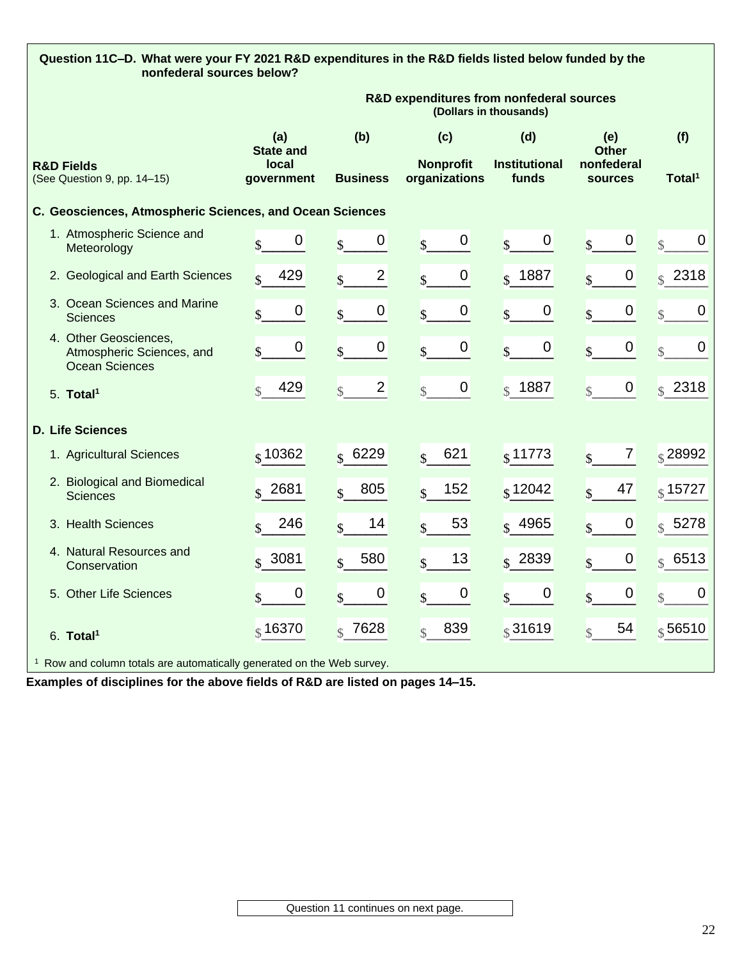| Question 11C-D. What were your FY 2021 R&D expenditures in the R&D fields listed below funded by the<br>nonfederal sources below? |                                         |                                             |                                          |                                      |                                                     |                                             |
|-----------------------------------------------------------------------------------------------------------------------------------|-----------------------------------------|---------------------------------------------|------------------------------------------|--------------------------------------|-----------------------------------------------------|---------------------------------------------|
|                                                                                                                                   |                                         |                                             | R&D expenditures from nonfederal sources | (Dollars in thousands)               |                                                     |                                             |
| <b>R&amp;D Fields</b>                                                                                                             | (a)<br><b>State and</b><br><b>local</b> | (b)<br><b>Business</b>                      | (c)<br><b>Nonprofit</b><br>organizations | (d)<br><b>Institutional</b><br>funds | (e)<br><b>Other</b><br>nonfederal<br><b>sources</b> | (f)<br>Total <sup>1</sup>                   |
| (See Question 9, pp. 14-15)                                                                                                       | government                              |                                             |                                          |                                      |                                                     |                                             |
| C. Geosciences, Atmospheric Sciences, and Ocean Sciences                                                                          |                                         |                                             |                                          |                                      |                                                     |                                             |
| 1. Atmospheric Science and<br>Meteorology                                                                                         | 0<br>$\overline{\mathbf{S}}$            | $\mathbf 0$<br>$\mathbf{\hat{S}}$           | 0<br>$\mathbf{\hat{S}}$                  | 0<br>$\mathbf{\hat{S}}$              | 0<br>$\mathbf{\hat{S}}$                             | 0<br>$\mathcal{S}$                          |
| 2. Geological and Earth Sciences                                                                                                  | 429<br>$\mathcal{S}$                    | $\overline{2}$<br>$\mathbf{\hat{S}}$        | 0<br>$\mathsf{\$}$                       | $\frac{1}{2}$ 1887                   | 0<br>$\mathbf{\hat{S}}$                             | $\sqrt{$}$ 2318                             |
| 3. Ocean Sciences and Marine<br><b>Sciences</b>                                                                                   | 0<br>\$                                 | $\boldsymbol{0}$<br>$\overline{\mathsf{S}}$ | 0<br>$\mathsf{\$}$                       | 0<br>$\boldsymbol{\mathsf{S}}$       | 0<br>$\mathsf{\$}$                                  | $\boldsymbol{0}$<br>$\overline{\mathbb{S}}$ |
| 4. Other Geosciences,<br>Atmospheric Sciences, and<br><b>Ocean Sciences</b>                                                       | $\mathbf 0$<br>\$                       | $\mathbf 0$<br>$\overline{\mathbb{S}}$      | 0<br>$\mathbf{\hat{S}}$                  | 0<br>$\mathbf{\hat{S}}$              | $\pmb{0}$<br>$\mathsf{\$}$                          | $\boldsymbol{0}$<br>$\mathbb{S}$            |
| 5. Total <sup>1</sup>                                                                                                             | 429<br>$\mathcal{S}$                    | $\overline{2}$<br>$\mathcal{S}$             | 0<br>$\mathcal{S}$                       | $\frac{1}{3}$ 1887                   | $\mathbf 0$<br>$\mathcal{S}$                        | $\binom{8}{3}$ 2318                         |
| <b>D. Life Sciences</b>                                                                                                           |                                         |                                             |                                          |                                      |                                                     |                                             |
| 1. Agricultural Sciences                                                                                                          | $\frac{1}{3}$ 10362                     | $\frac{1}{3}6229$                           | 621<br>$\overline{\mathbf{s}}$           | $s$ 11773                            | 7<br>$\mathbf{s}$                                   | $\frac{1}{3}$ 28992                         |
| 2. Biological and Biomedical<br><b>Sciences</b>                                                                                   | $\frac{1}{3}$ 2681                      | 805<br>$\mathbf{s}$                         | 152<br>$\mathbf{s}$                      | $\frac{1}{3}$ 12042                  | 47                                                  | $\frac{1}{3}$ 15727                         |
| 3. Health Sciences                                                                                                                | 246<br>$\mathcal{S}$                    | 14<br>$\mathbf{\hat{S}}$                    | 53<br>$\mathbf{s}$                       | $\frac{1}{3}$ 4965                   | $\pmb{0}$                                           | $\frac{1}{2}$ 5278                          |
| 4. Natural Resources and<br>Conservation                                                                                          | $\frac{1}{3}$ 3081                      | 580<br>$\mathbf{s}$                         | 13                                       | $\frac{1}{3}$ 2839                   | 0                                                   | $\frac{1}{3}$ 6513                          |
| 5. Other Life Sciences                                                                                                            | 0                                       | $\mathbf 0$<br>$\mathbf{s}$                 | 0<br>$\mathbf{s}$                        | 0<br>$\mathbf{s}$                    | $\boldsymbol{0}$<br>$\mathbf{s}$                    | $\boldsymbol{0}$<br>$\mathcal{S}$           |
| 6. Total <sup>1</sup>                                                                                                             | $\frac{1}{9}$ 16370                     | 7628<br>$\mathcal{L}$                       | 839<br>$\mathcal{S}$                     | $\frac{1}{3}31619$                   | 54<br>$\hat{\mathbf{r}}$                            | $\frac{1}{3}$ 56510                         |
| $1 - 2$                                                                                                                           |                                         | $41 - 381 - 1$                              |                                          |                                      |                                                     |                                             |

 $1<sup>1</sup>$  Row and column totals are automatically generated on the Web survey.

**Examples of disciplines for the above fields of R&D are listed on pages 14–15.**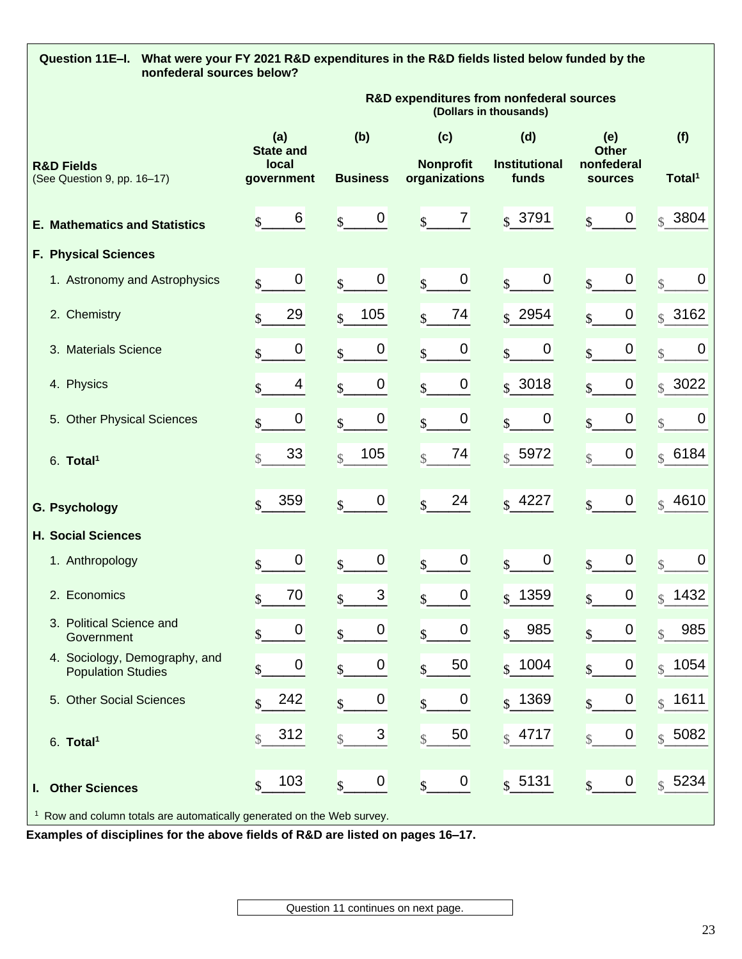| Question 11E-I. What were your FY 2021 R&D expenditures in the R&D fields listed below funded by the<br>nonfederal sources below? |                                             |                                           |                                             |                                   |                                             |                                   |
|-----------------------------------------------------------------------------------------------------------------------------------|---------------------------------------------|-------------------------------------------|---------------------------------------------|-----------------------------------|---------------------------------------------|-----------------------------------|
|                                                                                                                                   |                                             |                                           | R&D expenditures from nonfederal sources    | (Dollars in thousands)            |                                             |                                   |
|                                                                                                                                   | (a)<br><b>State and</b>                     | (b)                                       | (c)                                         | (d)                               | (e)<br><b>Other</b>                         | (f)                               |
| <b>R&amp;D Fields</b><br>(See Question 9, pp. 16-17)                                                                              | local<br>government                         | <b>Business</b>                           | <b>Nonprofit</b><br>organizations           | <b>Institutional</b><br>funds     | nonfederal<br>sources                       | Total <sup>1</sup>                |
| <b>E. Mathematics and Statistics</b>                                                                                              | 6<br>$\mathsf{\$}$                          | 0<br>$\mathbf{s}$                         | $\mathbf{7}$<br>$\mathbf{s}$                | $\frac{1}{2}$ 3791                | 0 <br>$\overline{\mathbf{S}}$               | $\frac{1}{3}$ 3804                |
| <b>F. Physical Sciences</b>                                                                                                       |                                             |                                           |                                             |                                   |                                             |                                   |
| 1. Astronomy and Astrophysics                                                                                                     | $\pmb{0}$<br>$\mathbf{\hat{S}}$             | $\pmb{0}$<br>$\mathbf{s}$                 | $\overline{0}$<br>$\overline{\mathbf{S}}$   | 0<br>$\mathbf{s}$                 | $\pmb{0}$<br>$\overline{\mathcal{S}}$       | $\mathbf 0$<br>$\mathcal{S}$      |
| 2. Chemistry                                                                                                                      | 29<br>\$                                    | 105<br>$\mathbf{\hat{S}}$                 | 74<br>$\overline{\mathbb{S}}$               | $\sqrt{s}$ 2954                   | $\overline{0}$<br>$\overline{\mathbf{S}}$   | $s$ 3162                          |
| 3. Materials Science                                                                                                              | $\boldsymbol{0}$<br>$\overline{\mathbb{S}}$ | $\boldsymbol{0}$<br>$\mathsf{\$}$         | 0<br>$\overline{\mathsf{S}}$                | $\boldsymbol{0}$<br>$\mathbf{s}$  | $\boldsymbol{0}$<br>$\overline{\mathsf{S}}$ | $\overline{0}$<br>$\mathcal{S}$   |
| 4. Physics                                                                                                                        | 4<br>\$                                     | $\mathbf 0$<br>$\mathsf{\$}$              | $\boldsymbol{0}$<br>$\overline{\mathsf{S}}$ | $s$ 3018                          | $\boldsymbol{0}$<br>$\overline{\mathbb{S}}$ | $\sqrt{$}3022$                    |
| 5. Other Physical Sciences                                                                                                        | 0<br>$\mathbf{\hat{S}}$                     | $\boldsymbol{0}$<br>$\mathbf{\hat{S}}$    | 0<br>$\mathbf{\hat{S}}$                     | 0<br>$\mathbf{s}$                 | $\boldsymbol{0}$<br>$\mathbf{\hat{S}}$      | $\overline{0}$<br>$\mathbb{S}$    |
| 6. Total <sup>1</sup>                                                                                                             | 33<br>$\mathcal{S}$                         | 105<br>$\mathbb{S}$                       | 74<br>$\mathcal{S}$                         | $s$ 5972                          | $\overline{0}$<br>$\mathcal{S}$             | \$6184                            |
| <b>G. Psychology</b>                                                                                                              | 359<br>$\mathbf{\hat{S}}$                   | $\boldsymbol{0}$<br>$\mathsf{\$}$         | 24<br>$\mathbf{\hat{S}}$                    | $\sqrt{$}$ 4227                   | $\overline{0}$<br>$\mathbf{\hat{S}}$        | $s$ 4610                          |
| <b>H. Social Sciences</b>                                                                                                         |                                             |                                           |                                             |                                   |                                             |                                   |
| 1. Anthropology                                                                                                                   | $\mathbf 0$<br>\$                           | $\mathbf 0$<br>$\mathsf{\$}$              | $\mathbf 0$<br>$\overline{\mathbf{S}}$      | $\mathbf 0$<br>$\mathbf{\hat{S}}$ | $\boldsymbol{0}$<br>$\overline{\mathbb{S}}$ | $\boldsymbol{0}$<br>$\mathcal{S}$ |
| 2. Economics                                                                                                                      | 70<br>$\triangle$<br>Φ                      | 3<br>$\triangle$                          | 0 <br>$\triangle$                           | $\frac{1}{3}$ 1359                | $\overline{0}$<br>S                         | $\int_{\S_1} 1432$                |
| 3. Political Science and<br>Government                                                                                            | 0<br>\$                                     | 0<br>$\mathbf{\hat{S}}$                   | $\boldsymbol{0}$<br>$\overline{\mathsf{S}}$ | 985<br>$\mathsf{\$}$              | $\boldsymbol{0}$<br>$\mathsf{\$}$           | 985<br>$\mathcal{S}$              |
| 4. Sociology, Demography, and<br><b>Population Studies</b>                                                                        | 0<br>\$                                     | 0<br>$\mathsf{\$}$                        | 50<br>$\mathbf{\hat{S}}$                    | $s$ 1004                          | 0<br>$\mathbf{s}$                           | \$ 1054]                          |
| 5. Other Social Sciences                                                                                                          | 242<br>$\mathbf{\hat{S}}$                   | 0<br>\$                                   | $\boldsymbol{0}$<br>$\mathsf{\$}$           | $ $ \$ 1369                       | $\boldsymbol{0}$<br>$\mathsf{\$}$           | $s$ 1611                          |
| 6. Total <sup>1</sup>                                                                                                             | 312<br>$\mathcal{S}$                        | $\mathfrak{S}$<br>$\overline{\mathbb{S}}$ | 50<br>$\overline{\mathbb{S}}$               | $ $$ 4717                         | $\boldsymbol{0}$<br>$\sqrt{\frac{1}{2}}$    | \$5082                            |
| <b>Other Sciences</b><br>L.                                                                                                       | 103<br>$\mathbf{\hat{S}}$                   | 0<br>$\mathbf{\hat{S}}$                   | $\overline{0}$<br>$\mathbf{\hat{S}}$        | $s$ 5131                          | $\overline{0}$<br>$\mathsf{\overline{S}}$   | \$5234                            |
| <sup>1</sup> Row and column totals are automatically generated on the Web survey.                                                 |                                             |                                           |                                             |                                   |                                             |                                   |

**Examples of disciplines for the above fields of R&D are listed on pages 16–17.**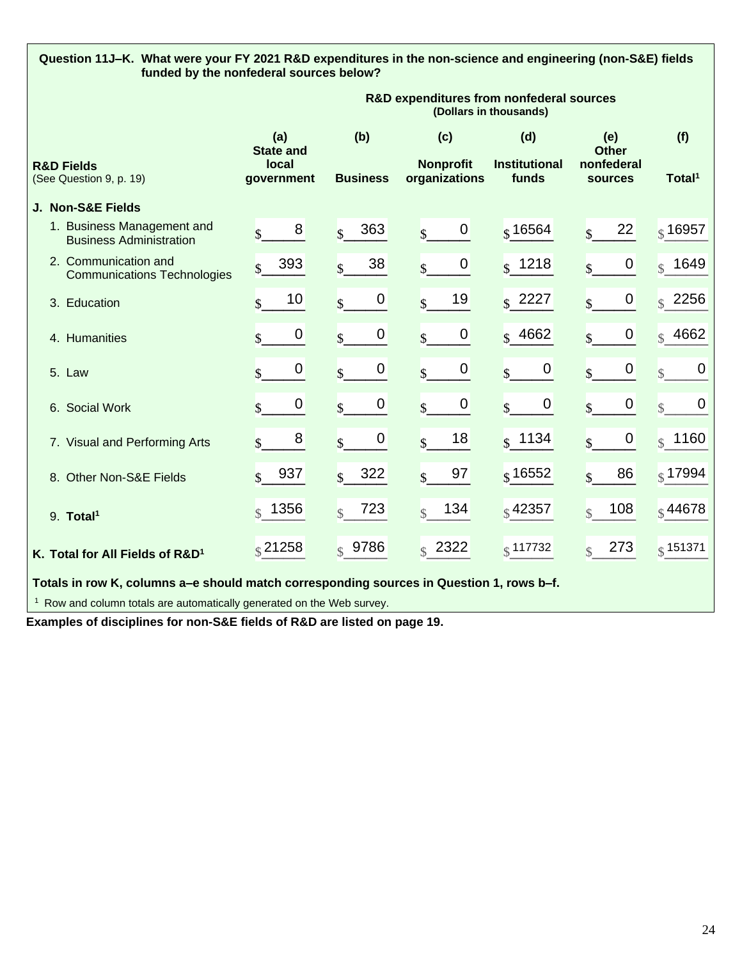# **Question 11J–K. What were your FY 2021 R&D expenditures in the non-science and engineering (non-S&E) fields funded by the nonfederal sources below?**

|                                                              | R&D expenditures from nonfederal sources<br>(Dollars in thousands) |                                        |                                             |                                  |                                   |                                 |
|--------------------------------------------------------------|--------------------------------------------------------------------|----------------------------------------|---------------------------------------------|----------------------------------|-----------------------------------|---------------------------------|
|                                                              | (a)<br><b>State and</b>                                            | (b)                                    | (c)                                         | (d)                              | (e)<br><b>Other</b>               | (f)                             |
| <b>R&amp;D Fields</b><br>(See Question 9, p. 19)             | <b>local</b><br>government                                         | <b>Business</b>                        | <b>Nonprofit</b><br>organizations           | <b>Institutional</b><br>funds    | nonfederal<br><b>sources</b>      | Total <sup>1</sup>              |
| J. Non-S&E Fields                                            |                                                                    |                                        |                                             |                                  |                                   |                                 |
| 1. Business Management and<br><b>Business Administration</b> | 8                                                                  | 363<br>$\mathbf{s}$                    | $\boldsymbol{0}$<br>$\mathbf{s}$            | $\frac{1}{3}$ 16564              | 22<br>$\mathbf{\hat{S}}$          | $\frac{1}{3}$ 16957             |
| 2. Communication and<br><b>Communications Technologies</b>   | 393<br>$\mathcal{S}$                                               | 38<br>$\mathbf{\hat{S}}$               | $\boldsymbol{0}$<br>$\mathbf{\hat{S}}$      | $s$ 1218                         | $\boldsymbol{0}$<br>$\mathbf{s}$  | $\frac{1}{3}$ 1649              |
| 3. Education                                                 | 10<br>$\mathcal{S}$                                                | $\boldsymbol{0}$<br>$\mathbf{s}$       | 19<br>$\mathbf{s}$                          | $s$ 2227                         | 0<br>$\mathbf{\hat{S}}$           | $\frac{1}{3}$ 2256              |
| 4. Humanities                                                | $\boldsymbol{0}$<br>\$                                             | $\boldsymbol{0}$<br>$\mathbf{\hat{S}}$ | $\boldsymbol{0}$<br>$\mathsf{\$}$           | $\frac{1}{2}$ 4662               | $\boldsymbol{0}$<br>\$            | $\frac{1}{3}$ 4662              |
| 5. Law                                                       | $\mathbf 0$<br>$\mathbf{\hat{S}}$                                  | $\mathbf 0$<br>$\mathbf{s}$            | $\mathbf 0$<br>$\mathbf{\hat{S}}$           | $\boldsymbol{0}$<br>\$           | $\pmb{0}$<br>$\mathbf{\hat{s}}$   | $\overline{0}$<br>$\mathcal{S}$ |
| 6. Social Work                                               | $\mathbf 0$                                                        | $\boldsymbol{0}$<br>$\mathbf{s}$       | $\boldsymbol{0}$<br>$\overline{\mathbf{S}}$ | $\boldsymbol{0}$<br>$\mathbf{s}$ | $\boldsymbol{0}$<br>$\mathcal{S}$ | $\mathbf 0$<br>$\mathcal{S}$    |
| 7. Visual and Performing Arts                                | 8<br>$\mathbf{\hat{s}}$                                            | $\boldsymbol{0}$<br>$\mathbf{\hat{S}}$ | 18<br>$\mathbf{\hat{S}}$                    | $s$ 1134                         | $\mathbf 0$<br>$\mathbf{s}$       | $\frac{1}{3}$ 1160              |
| 8. Other Non-S&E Fields                                      | 937<br>$\mathcal{S}$                                               | 322<br>$\mathbf{\hat{s}}$              | 97<br>$\mathbf{\hat{S}}$                    | $\frac{1}{3}$ 16552              | 86<br>$\hat{\mathbf{r}}$          | $\frac{1}{3}$ 17994             |
| 9. Total <sup>1</sup>                                        | $\frac{1}{3}$ 1356                                                 | 723<br>$\mathcal{S}$                   | 134<br>$\mathcal{S}$                        | $\frac{1}{3}$ 42357              | 108<br>$\mathcal{S}$              | $\frac{1}{3}$ 44678             |
| K. Total for All Fields of R&D <sup>1</sup>                  | $\frac{1}{3}$ 21258                                                | $s$ 9786                               | $\frac{1}{2}$ 2322                          | $\frac{1}{3}$ 117732             | 273<br>$\mathcal{S}$              | $\frac{1}{3}$ 151371            |

**Totals in row K, columns a–e should match corresponding sources in Question 1, rows b–f.**

<sup>1</sup> Row and column totals are automatically generated on the Web survey.

**Examples of disciplines for non-S&E fields of R&D are listed on page 19.**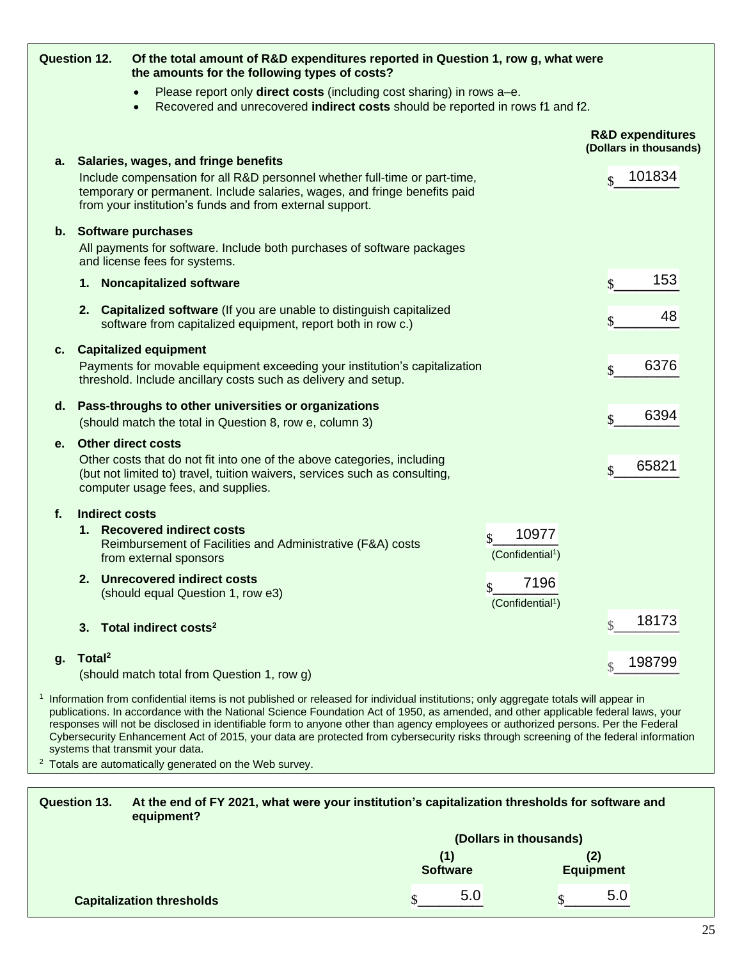|    | <b>Question 12.</b>   | Of the total amount of R&D expenditures reported in Question 1, row g, what were<br>the amounts for the following types of costs?                                                                                                                                                                                                                                                                                         |                                                       |
|----|-----------------------|---------------------------------------------------------------------------------------------------------------------------------------------------------------------------------------------------------------------------------------------------------------------------------------------------------------------------------------------------------------------------------------------------------------------------|-------------------------------------------------------|
|    |                       | Please report only direct costs (including cost sharing) in rows a-e.<br>Recovered and unrecovered indirect costs should be reported in rows f1 and f2.<br>$\bullet$                                                                                                                                                                                                                                                      |                                                       |
|    |                       |                                                                                                                                                                                                                                                                                                                                                                                                                           | <b>R&amp;D expenditures</b><br>(Dollars in thousands) |
|    |                       | a. Salaries, wages, and fringe benefits<br>Include compensation for all R&D personnel whether full-time or part-time,<br>temporary or permanent. Include salaries, wages, and fringe benefits paid<br>from your institution's funds and from external support.                                                                                                                                                            | 101834<br>$\mathcal{S}$                               |
|    |                       | b. Software purchases<br>All payments for software. Include both purchases of software packages<br>and license fees for systems.                                                                                                                                                                                                                                                                                          |                                                       |
|    |                       | 1. Noncapitalized software                                                                                                                                                                                                                                                                                                                                                                                                | 153<br>\$                                             |
|    |                       | 2. Capitalized software (If you are unable to distinguish capitalized<br>software from capitalized equipment, report both in row c.)                                                                                                                                                                                                                                                                                      | 48<br>\$                                              |
| C. |                       | <b>Capitalized equipment</b><br>Payments for movable equipment exceeding your institution's capitalization<br>threshold. Include ancillary costs such as delivery and setup.                                                                                                                                                                                                                                              | 6376<br>\$                                            |
| d. |                       | Pass-throughs to other universities or organizations<br>(should match the total in Question 8, row e, column 3)                                                                                                                                                                                                                                                                                                           | 6394<br>$\mathbf{\hat{S}}$                            |
| е. |                       | <b>Other direct costs</b><br>Other costs that do not fit into one of the above categories, including<br>(but not limited to) travel, tuition waivers, services such as consulting,<br>computer usage fees, and supplies.                                                                                                                                                                                                  | 65821<br>\$                                           |
| f. | <b>Indirect costs</b> | 1. Recovered indirect costs<br>10977<br>$\mathbf{\hat{S}}$<br>Reimbursement of Facilities and Administrative (F&A) costs<br>(Confidential <sup>1</sup> )<br>from external sponsors                                                                                                                                                                                                                                        |                                                       |
|    |                       | 2. Unrecovered indirect costs<br>7196<br>\$<br>(should equal Question 1, row e3)<br>(Confidential <sup>1</sup> )                                                                                                                                                                                                                                                                                                          |                                                       |
|    | 3.                    | Total indirect costs <sup>2</sup>                                                                                                                                                                                                                                                                                                                                                                                         | 18173                                                 |
| g. | Total <sup>2</sup>    | (should match total from Question 1, row g)                                                                                                                                                                                                                                                                                                                                                                               | 198799                                                |
|    |                       | <sup>1</sup> Information from confidential items is not published or released for individual institutions; only aggregate totals will appear in<br>publications. In accordance with the National Science Foundation Act of 1950, as amended, and other applicable federal laws, your<br>responses will not be disclosed in identifiable form to anyone other than agency employees or authorized persons. Per the Federal |                                                       |

systems that transmit your data. <sup>2</sup> Totals are automatically generated on the Web survey.

| <b>Question 13.</b> | At the end of FY 2021, what were your institution's capitalization thresholds for software and<br>equipment? |  |                        |                        |
|---------------------|--------------------------------------------------------------------------------------------------------------|--|------------------------|------------------------|
|                     |                                                                                                              |  |                        | (Dollars in thousands) |
|                     |                                                                                                              |  | (1)<br><b>Software</b> | <b>Equipment</b>       |
|                     | <b>Capitalization thresholds</b>                                                                             |  | 5.0                    | 5.0                    |

Cybersecurity Enhancement Act of 2015, your data are protected from cybersecurity risks through screening of the federal information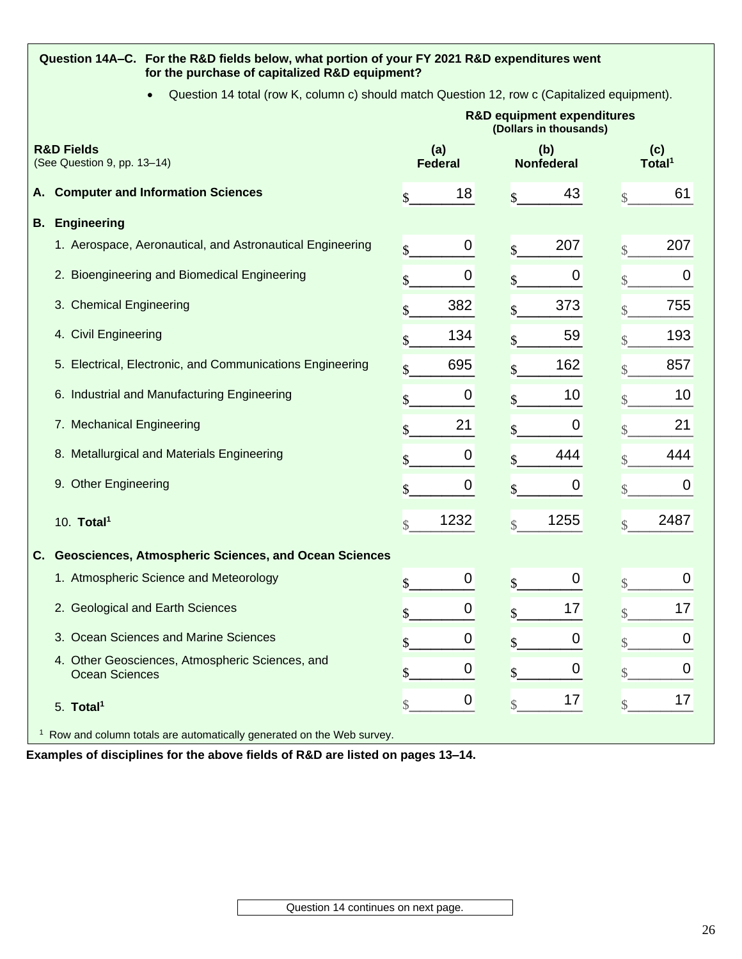# **Question 14A–C. For the R&D fields below, what portion of your FY 2021 R&D expenditures went for the purchase of capitalized R&D equipment?**

• Question 14 total (row K, column c) should match Question 12, row c (Capitalized equipment).

|    |                                                                                   | <b>R&amp;D equipment expenditures</b><br>(Dollars in thousands) |                       |                         |                          |                         |                           |
|----|-----------------------------------------------------------------------------------|-----------------------------------------------------------------|-----------------------|-------------------------|--------------------------|-------------------------|---------------------------|
|    | <b>R&amp;D Fields</b><br>(See Question 9, pp. 13-14)                              |                                                                 | (a)<br><b>Federal</b> |                         | (b)<br><b>Nonfederal</b> |                         | (c)<br>Total <sup>1</sup> |
| Α. | <b>Computer and Information Sciences</b>                                          | \$                                                              | 18                    | \$                      | 43                       | \$                      | 61                        |
| В. | <b>Engineering</b>                                                                |                                                                 |                       |                         |                          |                         |                           |
|    | 1. Aerospace, Aeronautical, and Astronautical Engineering                         | \$                                                              | 0                     | $\overline{\mathbb{S}}$ | 207                      | $\overline{\mathbb{S}}$ | 207                       |
|    | 2. Bioengineering and Biomedical Engineering                                      | \$                                                              | 0                     | \$                      | 0                        | \$                      | 0                         |
|    | 3. Chemical Engineering                                                           |                                                                 | 382                   |                         | 373                      | \$                      | 755                       |
|    | 4. Civil Engineering                                                              | \$                                                              | 134                   | \$                      | 59                       |                         | 193                       |
|    | 5. Electrical, Electronic, and Communications Engineering                         | $\mathbf{\$}$                                                   | 695                   | \$                      | 162                      | \$                      | 857                       |
|    | 6. Industrial and Manufacturing Engineering                                       | \$                                                              | 0                     | \$                      | 10                       |                         | 10                        |
|    | 7. Mechanical Engineering                                                         |                                                                 | 21                    |                         | 0                        |                         | 21                        |
|    | 8. Metallurgical and Materials Engineering                                        | \$                                                              | 0                     |                         | 444                      |                         | 444                       |
|    | 9. Other Engineering                                                              | \$                                                              | 0                     | \$                      | 0                        | \$                      | $\mathbf 0$               |
|    | 10. Total <sup>1</sup>                                                            | $\overline{\mathbb{S}}$                                         | 1232                  | $\overline{\mathbb{S}}$ | 1255                     | $\mathcal{S}$           | 2487                      |
| C. | Geosciences, Atmospheric Sciences, and Ocean Sciences                             |                                                                 |                       |                         |                          |                         |                           |
|    | 1. Atmospheric Science and Meteorology                                            | \$                                                              | 0                     | \$                      | 0                        | \$                      | 0                         |
|    | 2. Geological and Earth Sciences                                                  | \$                                                              | 0                     | \$                      | 17                       | \$                      | 17                        |
|    | 3. Ocean Sciences and Marine Sciences                                             | \$                                                              | 0                     | \$                      | 0                        | \$                      | 0                         |
|    | 4. Other Geosciences, Atmospheric Sciences, and<br><b>Ocean Sciences</b>          | \$                                                              | 0                     | \$                      | 0                        | \$                      | $\boldsymbol{0}$          |
|    | 5. Total <sup>1</sup>                                                             | $\mathcal{S}$                                                   | 0                     | $\mathcal{S}$           | 17                       | \$                      | 17                        |
|    | <sup>1</sup> Row and column totals are automatically generated on the Web survey. |                                                                 |                       |                         |                          |                         |                           |

**Examples of disciplines for the above fields of R&D are listed on pages 13–14.**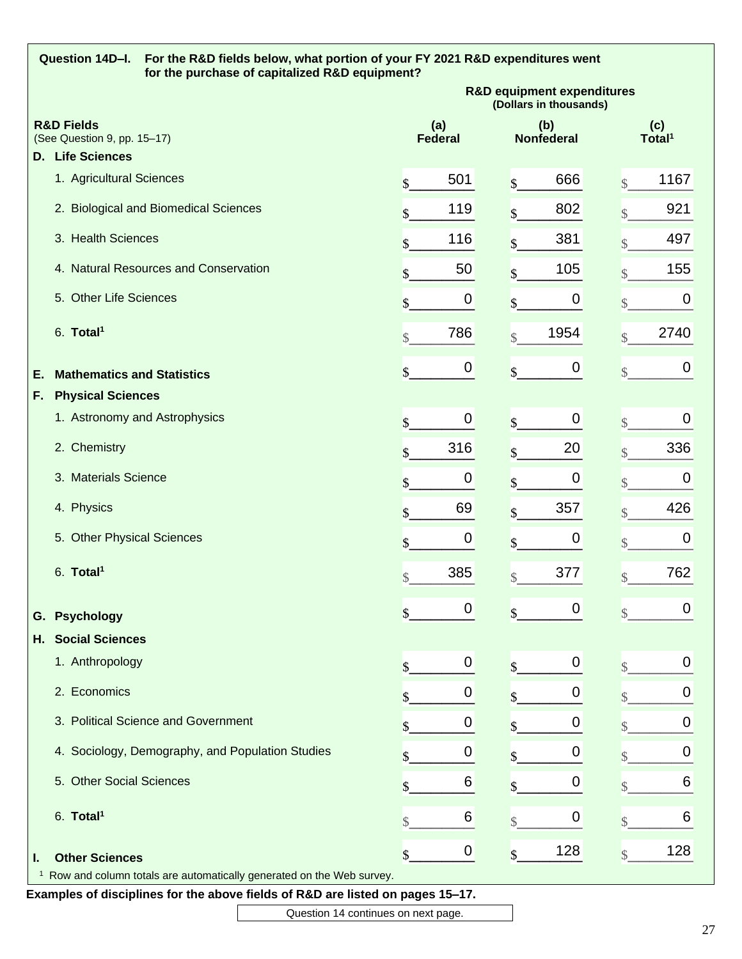|              | Question 14D-I.<br>For the R&D fields below, what portion of your FY 2021 R&D expenditures went<br>for the purchase of capitalized R&D equipment? |                                                                      |                      |                                                                 |                |              |                          |                         |                           |
|--------------|---------------------------------------------------------------------------------------------------------------------------------------------------|----------------------------------------------------------------------|----------------------|-----------------------------------------------------------------|----------------|--------------|--------------------------|-------------------------|---------------------------|
|              |                                                                                                                                                   |                                                                      |                      | <b>R&amp;D equipment expenditures</b><br>(Dollars in thousands) |                |              |                          |                         |                           |
|              | <b>R&amp;D Fields</b><br>(See Question 9, pp. 15-17)                                                                                              |                                                                      |                      | (a)                                                             | <b>Federal</b> |              | (b)<br><b>Nonfederal</b> |                         | (c)<br>Total <sup>1</sup> |
|              | <b>D.</b> Life Sciences                                                                                                                           |                                                                      |                      |                                                                 |                |              |                          |                         |                           |
|              | 1. Agricultural Sciences                                                                                                                          |                                                                      | \$                   |                                                                 | 501            | \$           | 666                      | $\overline{\mathbb{S}}$ | 1167                      |
|              |                                                                                                                                                   | 2. Biological and Biomedical Sciences                                | \$                   |                                                                 | 119            | \$           | 802                      | $\mathcal{S}$           | 921                       |
|              | 3. Health Sciences                                                                                                                                |                                                                      | \$                   |                                                                 | 116            | \$           | 381                      | \$                      | 497                       |
|              |                                                                                                                                                   | 4. Natural Resources and Conservation                                | \$                   |                                                                 | 50             | \$           | 105                      | $\mathcal{S}$           | 155                       |
|              | 5. Other Life Sciences                                                                                                                            |                                                                      | \$                   |                                                                 | 0              | \$           | $\boldsymbol{0}$         | $\mathcal{S}$           | 0                         |
|              | 6. Total <sup>1</sup>                                                                                                                             |                                                                      | $\sqrt{\frac{1}{2}}$ |                                                                 | 786            | \$           | 1954                     | $\overline{\mathbb{S}}$ | 2740                      |
| Е.           | <b>Mathematics and Statistics</b>                                                                                                                 |                                                                      | \$                   |                                                                 | 0              | \$           | $\boldsymbol{0}$         | $\sqrt{\frac{1}{2}}$    | 0                         |
| F.           | <b>Physical Sciences</b>                                                                                                                          |                                                                      |                      |                                                                 |                |              |                          |                         |                           |
|              |                                                                                                                                                   | 1. Astronomy and Astrophysics                                        | \$                   |                                                                 | 0              | \$           | $\boldsymbol{0}$         | $\mathbb{S}$            | 0                         |
|              | 2. Chemistry                                                                                                                                      |                                                                      | \$                   |                                                                 | 316            | \$           | 20                       | $\overline{\mathbb{S}}$ | 336                       |
|              | 3. Materials Science                                                                                                                              |                                                                      | \$                   |                                                                 | 0              | \$           | 0                        | \$                      | $\boldsymbol{0}$          |
|              | 4. Physics                                                                                                                                        |                                                                      | \$                   |                                                                 | 69             | \$           | 357                      | \$                      | 426                       |
|              | 5. Other Physical Sciences                                                                                                                        |                                                                      | \$                   |                                                                 | 0              | \$           | $\boldsymbol{0}$         | $\mathcal{S}$           | $\boldsymbol{0}$          |
|              | 6. Total <sup>1</sup>                                                                                                                             |                                                                      | \$                   |                                                                 | 385            | \$           | 377                      | $\overline{\mathbb{S}}$ | 762                       |
| G.           | <b>Psychology</b>                                                                                                                                 |                                                                      | \$                   |                                                                 | 0              | \$           | 0                        | $\mathcal{S}$           | 0                         |
| Н.           | <b>Social Sciences</b>                                                                                                                            |                                                                      |                      |                                                                 |                |              |                          |                         |                           |
|              | 1. Anthropology                                                                                                                                   |                                                                      | \$                   |                                                                 | 0              | \$           | 0                        | $\mathcal{S}$           | 0                         |
|              | 2. Economics                                                                                                                                      |                                                                      |                      |                                                                 | O              |              | 0                        |                         | 0                         |
|              |                                                                                                                                                   | 3. Political Science and Government                                  |                      |                                                                 | O              | \$           | 0                        |                         | 0                         |
|              |                                                                                                                                                   | 4. Sociology, Demography, and Population Studies                     |                      |                                                                 | 0              | \$           | 0                        | \$                      | 0                         |
|              | 5. Other Social Sciences                                                                                                                          |                                                                      | \$                   |                                                                 | 6              | \$           | 0                        | $\mathcal{S}$           | 6                         |
|              | 6. Total <sup>1</sup>                                                                                                                             |                                                                      | \$                   |                                                                 | 6              | $\mathbb{S}$ | $\mathbf 0$              | $\mathcal{S}$           | 6                         |
| ı.           | <b>Other Sciences</b>                                                                                                                             |                                                                      | \$                   |                                                                 | 0              | \$           | 128                      | $\mathcal{S}$           | 128                       |
| $\mathbf{1}$ |                                                                                                                                                   | Row and column totals are automatically generated on the Web survey. |                      |                                                                 |                |              |                          |                         |                           |
|              | Examples of disciplines for the above fields of R&D are listed on pages 15-17.                                                                    |                                                                      |                      |                                                                 |                |              |                          |                         |                           |

Question 14 continues on next page.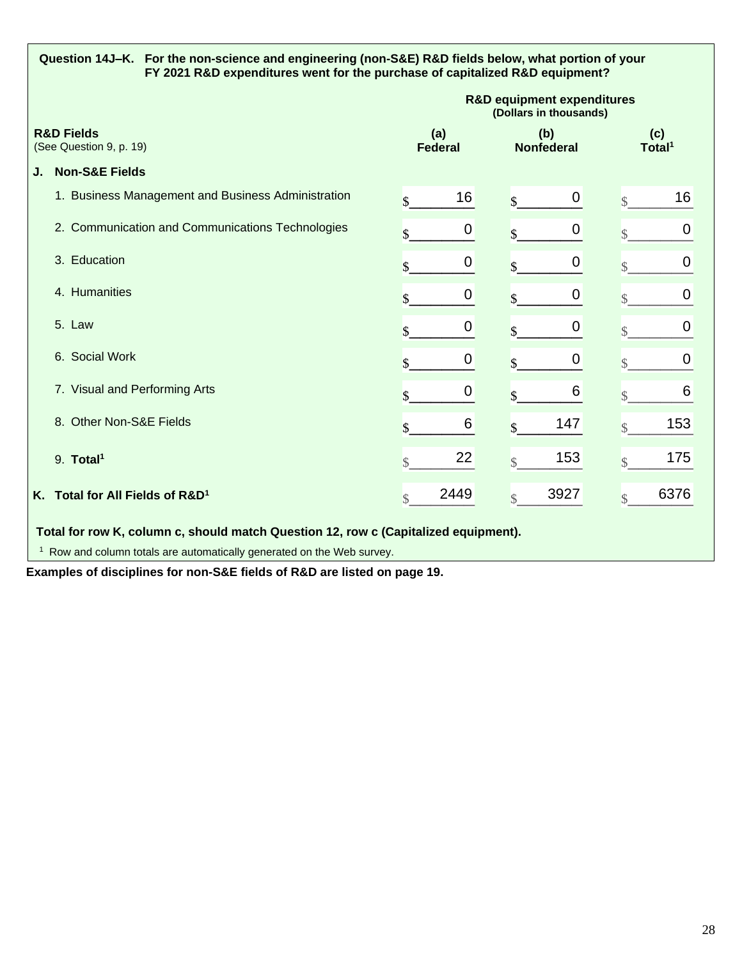| Question 14J–K. For the non-science and engineering (non-S&E) R&D fields below, what portion of your<br>FY 2021 R&D expenditures went for the purchase of capitalized R&D equipment? |                                                                                     |                                                    |                                                                 |                  |                    |                          |                           |      |
|--------------------------------------------------------------------------------------------------------------------------------------------------------------------------------------|-------------------------------------------------------------------------------------|----------------------------------------------------|-----------------------------------------------------------------|------------------|--------------------|--------------------------|---------------------------|------|
|                                                                                                                                                                                      |                                                                                     |                                                    | <b>R&amp;D equipment expenditures</b><br>(Dollars in thousands) |                  |                    |                          |                           |      |
|                                                                                                                                                                                      | <b>R&amp;D Fields</b><br>(See Question 9, p. 19)                                    |                                                    |                                                                 | (a)<br>Federal   |                    | (b)<br><b>Nonfederal</b> | (c)<br>Total <sup>1</sup> |      |
| J.                                                                                                                                                                                   | <b>Non-S&amp;E Fields</b>                                                           |                                                    |                                                                 |                  |                    |                          |                           |      |
|                                                                                                                                                                                      |                                                                                     | 1. Business Management and Business Administration | \$                                                              | 16               | \$                 | 0                        | $\overline{\mathbb{S}}$   | 16   |
|                                                                                                                                                                                      |                                                                                     | 2. Communication and Communications Technologies   | \$                                                              | 0                | \$                 | $\mathbf 0$              | $\mathcal{S}$             | 0    |
|                                                                                                                                                                                      | 3. Education                                                                        |                                                    | \$                                                              | 0                | $\mathbf{\hat{S}}$ | 0                        |                           | 0    |
|                                                                                                                                                                                      | 4. Humanities                                                                       |                                                    | \$                                                              | $\boldsymbol{0}$ | \$                 | $\boldsymbol{0}$         | $\overline{\mathbb{S}}$   | 0    |
|                                                                                                                                                                                      | 5. Law                                                                              |                                                    | \$                                                              | 0                | \$                 | 0                        | $\overline{\mathbb{S}}$   | 0    |
|                                                                                                                                                                                      | 6. Social Work                                                                      |                                                    |                                                                 | 0                | \$                 | 0                        | $\overline{\mathcal{S}}$  | 0    |
|                                                                                                                                                                                      | 7. Visual and Performing Arts                                                       |                                                    | $\mathbf{s}$                                                    | $\mathbf 0$      | $\mathbf{\hat{S}}$ | 6                        | $\mathcal{S}$             | 6    |
|                                                                                                                                                                                      | 8. Other Non-S&E Fields                                                             |                                                    | \$                                                              | 6                | \$                 | 147                      | $\mathcal{S}$             | 153  |
|                                                                                                                                                                                      | 9. Total <sup>1</sup>                                                               |                                                    | $\mathcal{S}$                                                   | 22               | $\mathcal{S}$      | 153                      | $\mathcal{S}$             | 175  |
|                                                                                                                                                                                      | K. Total for All Fields of R&D <sup>1</sup>                                         |                                                    | \$                                                              | 2449             | $\mathcal{S}$      | 3927                     | $\mathcal{S}$             | 6376 |
|                                                                                                                                                                                      | Total for row K, column c, should match Question 12, row c (Capitalized equipment). |                                                    |                                                                 |                  |                    |                          |                           |      |
| <sup>1</sup> Row and column totals are automatically generated on the Web survey.                                                                                                    |                                                                                     |                                                    |                                                                 |                  |                    |                          |                           |      |

**Examples of disciplines for non-S&E fields of R&D are listed on page 19.**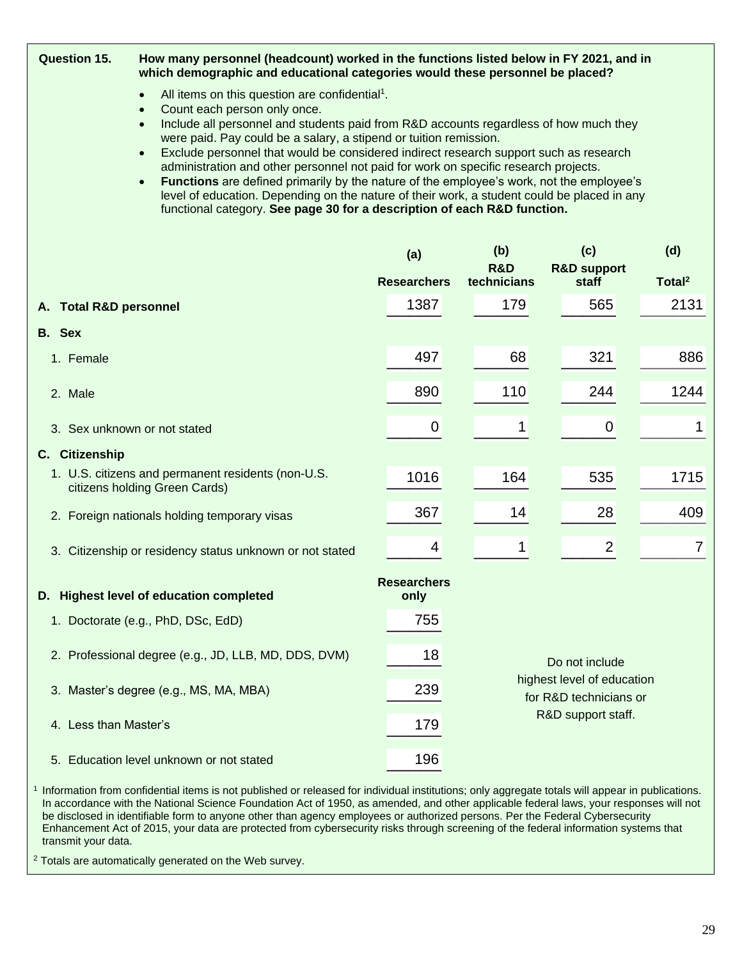| <b>Question 15.</b><br>How many personnel (headcount) worked in the functions listed below in FY 2021, and in<br>which demographic and educational categories would these personnel be placed? |                                                                                                                                                                                                                                                                                                    |                            |                                                      |                                 |                    |  |  |
|------------------------------------------------------------------------------------------------------------------------------------------------------------------------------------------------|----------------------------------------------------------------------------------------------------------------------------------------------------------------------------------------------------------------------------------------------------------------------------------------------------|----------------------------|------------------------------------------------------|---------------------------------|--------------------|--|--|
|                                                                                                                                                                                                | All items on this question are confidential <sup>1</sup> .<br>$\bullet$<br>Count each person only once.<br>$\bullet$                                                                                                                                                                               |                            |                                                      |                                 |                    |  |  |
|                                                                                                                                                                                                | Include all personnel and students paid from R&D accounts regardless of how much they<br>$\bullet$<br>were paid. Pay could be a salary, a stipend or tuition remission.                                                                                                                            |                            |                                                      |                                 |                    |  |  |
|                                                                                                                                                                                                | Exclude personnel that would be considered indirect research support such as research<br>$\bullet$<br>administration and other personnel not paid for work on specific research projects.<br>Functions are defined primarily by the nature of the employee's work, not the employee's<br>$\bullet$ |                            |                                                      |                                 |                    |  |  |
|                                                                                                                                                                                                | level of education. Depending on the nature of their work, a student could be placed in any<br>functional category. See page 30 for a description of each R&D function.                                                                                                                            |                            |                                                      |                                 |                    |  |  |
|                                                                                                                                                                                                |                                                                                                                                                                                                                                                                                                    | (a)                        | (b)                                                  | (c)                             | (d)                |  |  |
|                                                                                                                                                                                                |                                                                                                                                                                                                                                                                                                    | <b>Researchers</b>         | <b>R&amp;D</b><br>technicians                        | <b>R&amp;D support</b><br>staff | Total <sup>2</sup> |  |  |
| <b>Total R&amp;D personnel</b><br>А.                                                                                                                                                           |                                                                                                                                                                                                                                                                                                    | 1387                       | 179                                                  | 565                             | 2131               |  |  |
| B. Sex                                                                                                                                                                                         |                                                                                                                                                                                                                                                                                                    |                            |                                                      |                                 |                    |  |  |
| 1. Female                                                                                                                                                                                      |                                                                                                                                                                                                                                                                                                    | 497                        | 68                                                   | 321                             | 886                |  |  |
| 2. Male                                                                                                                                                                                        |                                                                                                                                                                                                                                                                                                    | 890                        | 110                                                  | 244                             | 1244               |  |  |
|                                                                                                                                                                                                | 3. Sex unknown or not stated                                                                                                                                                                                                                                                                       | $\boldsymbol{0}$           | 1                                                    | $\mathbf 0$                     | 1                  |  |  |
| C. Citizenship                                                                                                                                                                                 |                                                                                                                                                                                                                                                                                                    |                            |                                                      |                                 |                    |  |  |
|                                                                                                                                                                                                | 1. U.S. citizens and permanent residents (non-U.S.<br>citizens holding Green Cards)                                                                                                                                                                                                                | 1016                       | 164                                                  | 535                             | 1715               |  |  |
|                                                                                                                                                                                                | 2. Foreign nationals holding temporary visas                                                                                                                                                                                                                                                       | 367                        | 14                                                   | 28                              | 409                |  |  |
|                                                                                                                                                                                                | 3. Citizenship or residency status unknown or not stated                                                                                                                                                                                                                                           | 4                          | 1                                                    | $\overline{2}$                  | 7                  |  |  |
|                                                                                                                                                                                                | D. Highest level of education completed                                                                                                                                                                                                                                                            | <b>Researchers</b><br>only |                                                      |                                 |                    |  |  |
|                                                                                                                                                                                                | 1. Doctorate (e.g., PhD, DSc, EdD)                                                                                                                                                                                                                                                                 | 755                        |                                                      |                                 |                    |  |  |
|                                                                                                                                                                                                | 2. Professional degree (e.g., JD, LLB, MD, DDS, DVM)                                                                                                                                                                                                                                               | 18                         |                                                      | Do not include                  |                    |  |  |
| 3. Master's degree (e.g., MS, MA, MBA)                                                                                                                                                         | 239                                                                                                                                                                                                                                                                                                |                            | highest level of education<br>for R&D technicians or |                                 |                    |  |  |
| R&D support staff.<br>4. Less than Master's<br>179                                                                                                                                             |                                                                                                                                                                                                                                                                                                    |                            |                                                      |                                 |                    |  |  |
|                                                                                                                                                                                                | 5. Education level unknown or not stated                                                                                                                                                                                                                                                           | 196                        |                                                      |                                 |                    |  |  |
| <sup>1</sup> Information from confidential items is not published or released for individual institutions; only aggregate totals will appear in publications.                                  |                                                                                                                                                                                                                                                                                                    |                            |                                                      |                                 |                    |  |  |

In accordance with the National Science Foundation Act of 1950, as amended, and other applicable federal laws, your responses will not be disclosed in identifiable form to anyone other than agency employees or authorized persons. Per the Federal Cybersecurity Enhancement Act of 2015, your data are protected from cybersecurity risks through screening of the federal information systems that transmit your data.

<sup>2</sup> Totals are automatically generated on the Web survey.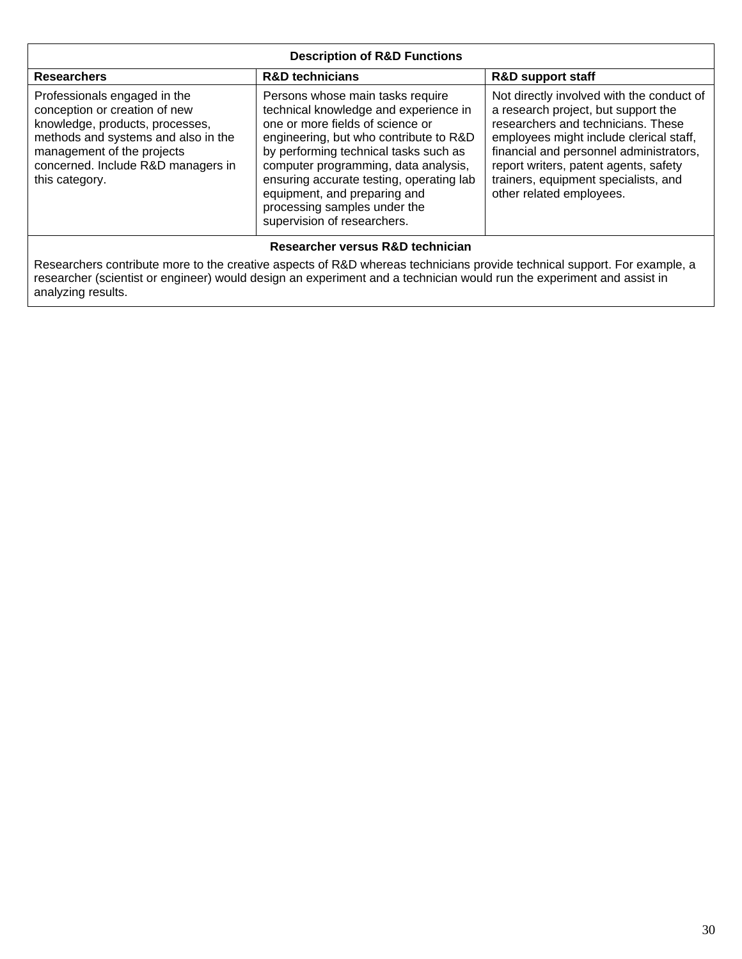| <b>Description of R&amp;D Functions</b>                                                                                                                                                                                       |                                                                                                                                                                                                                                                                                                                                                                                     |                                                                                                                                                                                                                                                                                                                           |  |  |  |
|-------------------------------------------------------------------------------------------------------------------------------------------------------------------------------------------------------------------------------|-------------------------------------------------------------------------------------------------------------------------------------------------------------------------------------------------------------------------------------------------------------------------------------------------------------------------------------------------------------------------------------|---------------------------------------------------------------------------------------------------------------------------------------------------------------------------------------------------------------------------------------------------------------------------------------------------------------------------|--|--|--|
| <b>R&amp;D technicians</b><br><b>R&amp;D support staff</b><br><b>Researchers</b>                                                                                                                                              |                                                                                                                                                                                                                                                                                                                                                                                     |                                                                                                                                                                                                                                                                                                                           |  |  |  |
| Professionals engaged in the<br>conception or creation of new<br>knowledge, products, processes,<br>methods and systems and also in the<br>management of the projects<br>concerned. Include R&D managers in<br>this category. | Persons whose main tasks require<br>technical knowledge and experience in<br>one or more fields of science or<br>engineering, but who contribute to R&D<br>by performing technical tasks such as<br>computer programming, data analysis,<br>ensuring accurate testing, operating lab<br>equipment, and preparing and<br>processing samples under the<br>supervision of researchers. | Not directly involved with the conduct of<br>a research project, but support the<br>researchers and technicians. These<br>employees might include clerical staff,<br>financial and personnel administrators,<br>report writers, patent agents, safety<br>trainers, equipment specialists, and<br>other related employees. |  |  |  |
|                                                                                                                                                                                                                               | Researcher versus R&D technician                                                                                                                                                                                                                                                                                                                                                    |                                                                                                                                                                                                                                                                                                                           |  |  |  |

Researchers contribute more to the creative aspects of R&D whereas technicians provide technical support. For example, a researcher (scientist or engineer) would design an experiment and a technician would run the experiment and assist in analyzing results.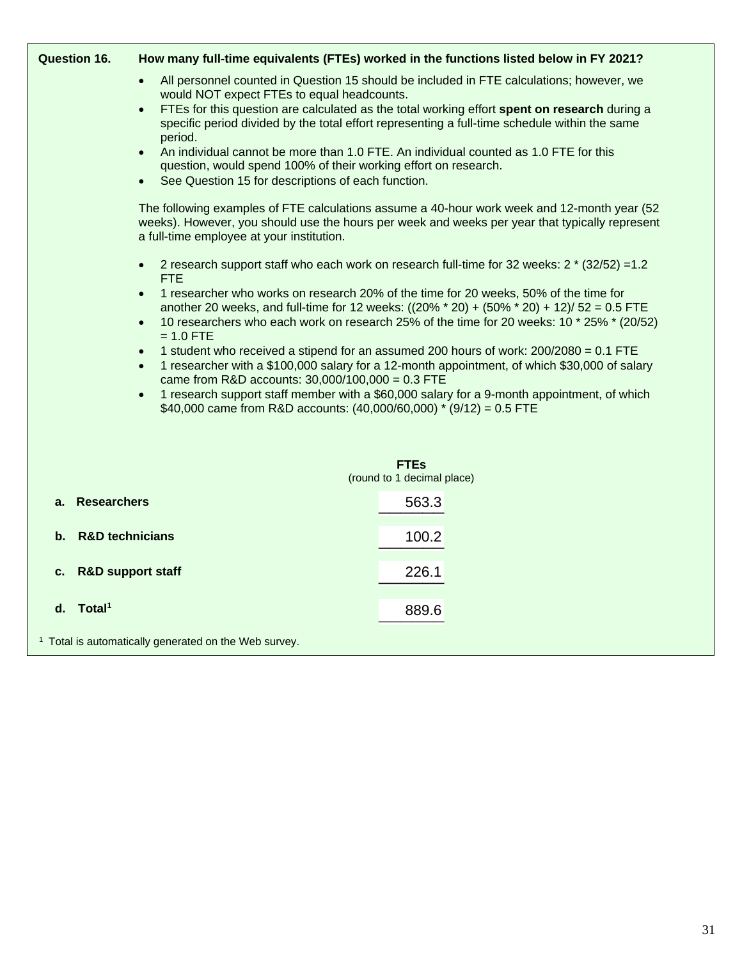| <b>Question 16.</b>                                              |                                                                                                                                                                                                                                                     | How many full-time equivalents (FTEs) worked in the functions listed below in FY 2021?                                                                                                                                                                                             |  |  |  |
|------------------------------------------------------------------|-----------------------------------------------------------------------------------------------------------------------------------------------------------------------------------------------------------------------------------------------------|------------------------------------------------------------------------------------------------------------------------------------------------------------------------------------------------------------------------------------------------------------------------------------|--|--|--|
|                                                                  | All personnel counted in Question 15 should be included in FTE calculations; however, we<br>$\bullet$<br>would NOT expect FTEs to equal headcounts.<br>FTEs for this question are calculated as the total working effort spent on research during a |                                                                                                                                                                                                                                                                                    |  |  |  |
|                                                                  | $\bullet$<br>period.                                                                                                                                                                                                                                | specific period divided by the total effort representing a full-time schedule within the same                                                                                                                                                                                      |  |  |  |
|                                                                  | $\bullet$<br>question, would spend 100% of their working effort on research.<br>See Question 15 for descriptions of each function.<br>$\bullet$                                                                                                     | An individual cannot be more than 1.0 FTE. An individual counted as 1.0 FTE for this                                                                                                                                                                                               |  |  |  |
|                                                                  | The following examples of FTE calculations assume a 40-hour work week and 12-month year (52<br>weeks). However, you should use the hours per week and weeks per year that typically represent<br>a full-time employee at your institution.          |                                                                                                                                                                                                                                                                                    |  |  |  |
|                                                                  | $\bullet$<br><b>FTE</b>                                                                                                                                                                                                                             | 2 research support staff who each work on research full-time for 32 weeks: 2 * (32/52) =1.2                                                                                                                                                                                        |  |  |  |
|                                                                  | $\bullet$<br>$\bullet$<br>$= 1.0$ FTE                                                                                                                                                                                                               | 1 researcher who works on research 20% of the time for 20 weeks, 50% of the time for<br>another 20 weeks, and full-time for 12 weeks: $((20\% * 20) + (50\% * 20) + 12)/52 = 0.5$ FTE<br>10 researchers who each work on research 25% of the time for 20 weeks: 10 * 25% * (20/52) |  |  |  |
|                                                                  | $\bullet$<br>$\bullet$<br>came from R&D accounts: $30,000/100,000 = 0.3$ FTE                                                                                                                                                                        | 1 student who received a stipend for an assumed 200 hours of work: 200/2080 = 0.1 FTE<br>1 researcher with a \$100,000 salary for a 12-month appointment, of which \$30,000 of salary                                                                                              |  |  |  |
|                                                                  | $\bullet$<br>\$40,000 came from R&D accounts: $(40,000/60,000)$ * $(9/12) = 0.5$ FTE                                                                                                                                                                | 1 research support staff member with a \$60,000 salary for a 9-month appointment, of which                                                                                                                                                                                         |  |  |  |
|                                                                  |                                                                                                                                                                                                                                                     | <b>FTEs</b>                                                                                                                                                                                                                                                                        |  |  |  |
|                                                                  |                                                                                                                                                                                                                                                     | (round to 1 decimal place)                                                                                                                                                                                                                                                         |  |  |  |
| <b>Researchers</b><br>a.                                         |                                                                                                                                                                                                                                                     | 563.3                                                                                                                                                                                                                                                                              |  |  |  |
| <b>R&amp;D technicians</b><br>b.                                 |                                                                                                                                                                                                                                                     | 100.2                                                                                                                                                                                                                                                                              |  |  |  |
| С.                                                               | <b>R&amp;D support staff</b>                                                                                                                                                                                                                        | 226.1                                                                                                                                                                                                                                                                              |  |  |  |
| d. Total <sup>1</sup>                                            |                                                                                                                                                                                                                                                     | 889.6                                                                                                                                                                                                                                                                              |  |  |  |
| <sup>1</sup> Total is automatically generated on the Web survey. |                                                                                                                                                                                                                                                     |                                                                                                                                                                                                                                                                                    |  |  |  |